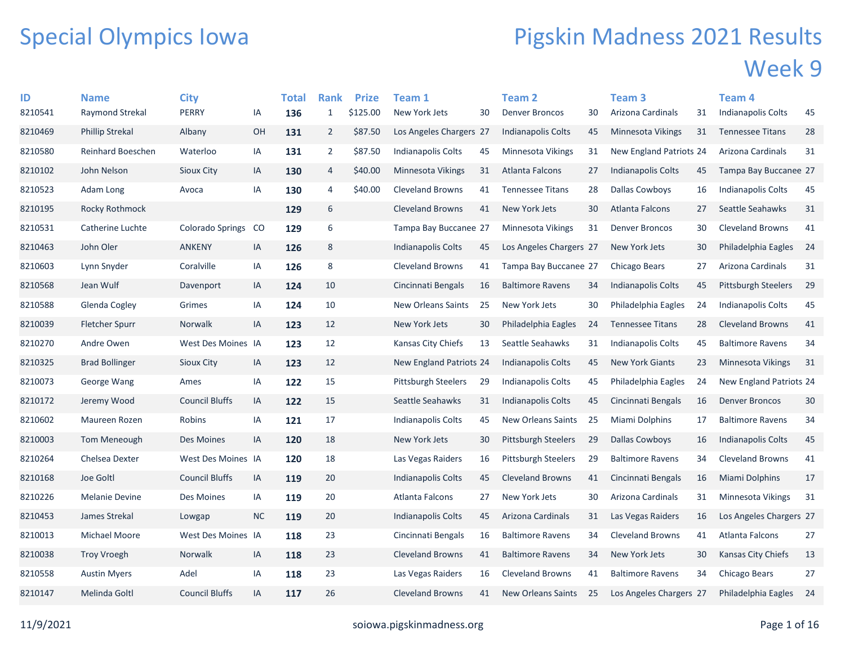## Special Olympics Iowa

## Pigskin Madness 2021 Results Week 9

| ID      | <b>Name</b>              | <b>City</b>           |               | Total | <b>Rank</b>       | <b>Prize</b> | <b>Team 1</b>                  |    | Team 2                     |    | Team <sub>3</sub>         |    | Team 4                     |    |
|---------|--------------------------|-----------------------|---------------|-------|-------------------|--------------|--------------------------------|----|----------------------------|----|---------------------------|----|----------------------------|----|
| 8210541 | <b>Raymond Strekal</b>   | <b>PERRY</b>          | IA            | 136   | $\mathbf{1}$      | \$125.00     | New York Jets                  | 30 | <b>Denver Broncos</b>      | 30 | Arizona Cardinals         | 31 | Indianapolis Colts         | 45 |
| 8210469 | <b>Phillip Strekal</b>   | Albany                | OH            | 131   | $\overline{2}$    | \$87.50      | Los Angeles Chargers 27        |    | Indianapolis Colts         | 45 | <b>Minnesota Vikings</b>  | 31 | <b>Tennessee Titans</b>    | 28 |
| 8210580 | <b>Reinhard Boeschen</b> | Waterloo              | IA            | 131   | 2                 | \$87.50      | Indianapolis Colts             | 45 | Minnesota Vikings          | 31 | New England Patriots 24   |    | Arizona Cardinals          | 31 |
| 8210102 | John Nelson              | <b>Sioux City</b>     | IA            | 130   | 4                 | \$40.00      | Minnesota Vikings              | 31 | Atlanta Falcons            | 27 | <b>Indianapolis Colts</b> | 45 | Tampa Bay Buccanee 27      |    |
| 8210523 | Adam Long                | Avoca                 | IA            | 130   | 4                 | \$40.00      | <b>Cleveland Browns</b>        | 41 | <b>Tennessee Titans</b>    | 28 | <b>Dallas Cowboys</b>     | 16 | Indianapolis Colts         | 45 |
| 8210195 | Rocky Rothmock           |                       |               | 129   | 6                 |              | <b>Cleveland Browns</b>        | 41 | New York Jets              | 30 | Atlanta Falcons           | 27 | Seattle Seahawks           | 31 |
| 8210531 | Catherine Luchte         | Colorado Springs      | <sub>co</sub> | 129   | 6                 |              | Tampa Bay Buccanee 27          |    | Minnesota Vikings          | 31 | <b>Denver Broncos</b>     | 30 | <b>Cleveland Browns</b>    | 41 |
| 8210463 | John Oler                | <b>ANKENY</b>         | IA            | 126   | $\bf 8$           |              | Indianapolis Colts             | 45 | Los Angeles Chargers 27    |    | New York Jets             | 30 | Philadelphia Eagles        | 24 |
| 8210603 | Lynn Snyder              | Coralville            | IA            | 126   | 8                 |              | <b>Cleveland Browns</b>        | 41 | Tampa Bay Buccanee 27      |    | Chicago Bears             | 27 | Arizona Cardinals          | 31 |
| 8210568 | Jean Wulf                | Davenport             | IA            | 124   | 10                |              | Cincinnati Bengals             | 16 | <b>Baltimore Ravens</b>    | 34 | <b>Indianapolis Colts</b> | 45 | <b>Pittsburgh Steelers</b> | 29 |
| 8210588 | Glenda Cogley            | Grimes                | IA            | 124   | 10                |              | New Orleans Saints             | 25 | New York Jets              | 30 | Philadelphia Eagles       | 24 | Indianapolis Colts         | 45 |
| 8210039 | Fletcher Spurr           | Norwalk               | IA            | 123   | $12 \overline{ }$ |              | New York Jets                  | 30 | Philadelphia Eagles        | 24 | <b>Tennessee Titans</b>   | 28 | <b>Cleveland Browns</b>    | 41 |
| 8210270 | Andre Owen               | West Des Moines IA    |               | 123   | 12                |              | Kansas City Chiefs             | 13 | Seattle Seahawks           | 31 | Indianapolis Colts        | 45 | <b>Baltimore Ravens</b>    | 34 |
| 8210325 | <b>Brad Bollinger</b>    | <b>Sioux City</b>     | IA            | 123   | 12                |              | <b>New England Patriots 24</b> |    | <b>Indianapolis Colts</b>  | 45 | <b>New York Giants</b>    | 23 | <b>Minnesota Vikings</b>   | 31 |
| 8210073 | George Wang              | Ames                  | IA            | 122   | 15                |              | Pittsburgh Steelers            | 29 | Indianapolis Colts         | 45 | Philadelphia Eagles       | 24 | New England Patriots 24    |    |
| 8210172 | Jeremy Wood              | <b>Council Bluffs</b> | IA            | 122   | 15                |              | Seattle Seahawks               | 31 | <b>Indianapolis Colts</b>  | 45 | Cincinnati Bengals        | 16 | <b>Denver Broncos</b>      | 30 |
| 8210602 | Maureen Rozen            | Robins                | IA            | 121   | 17                |              | Indianapolis Colts             | 45 | <b>New Orleans Saints</b>  | 25 | Miami Dolphins            | 17 | <b>Baltimore Ravens</b>    | 34 |
| 8210003 | Tom Meneough             | Des Moines            | IA            | 120   | 18                |              | New York Jets                  | 30 | <b>Pittsburgh Steelers</b> | 29 | Dallas Cowboys            | 16 | Indianapolis Colts         | 45 |
| 8210264 | Chelsea Dexter           | West Des Moines IA    |               | 120   | 18                |              | Las Vegas Raiders              | 16 | Pittsburgh Steelers        | 29 | <b>Baltimore Ravens</b>   | 34 | <b>Cleveland Browns</b>    | 41 |
| 8210168 | Joe Goltl                | <b>Council Bluffs</b> | IA            | 119   | 20                |              | Indianapolis Colts             | 45 | <b>Cleveland Browns</b>    | 41 | Cincinnati Bengals        | 16 | Miami Dolphins             | 17 |
| 8210226 | <b>Melanie Devine</b>    | Des Moines            | IA            | 119   | 20                |              | Atlanta Falcons                | 27 | New York Jets              | 30 | Arizona Cardinals         | 31 | Minnesota Vikings          | 31 |
| 8210453 | James Strekal            | Lowgap                | <b>NC</b>     | 119   | 20                |              | Indianapolis Colts             | 45 | Arizona Cardinals          | 31 | Las Vegas Raiders         | 16 | Los Angeles Chargers 27    |    |
| 8210013 | Michael Moore            | West Des Moines IA    |               | 118   | 23                |              | Cincinnati Bengals             | 16 | <b>Baltimore Ravens</b>    | 34 | <b>Cleveland Browns</b>   | 41 | Atlanta Falcons            | 27 |
| 8210038 | <b>Troy Vroegh</b>       | <b>Norwalk</b>        | IA            | 118   | 23                |              | <b>Cleveland Browns</b>        | 41 | <b>Baltimore Ravens</b>    | 34 | New York Jets             | 30 | Kansas City Chiefs         | 13 |
| 8210558 | <b>Austin Myers</b>      | Adel                  | IA            | 118   | 23                |              | Las Vegas Raiders              | 16 | <b>Cleveland Browns</b>    | 41 | <b>Baltimore Ravens</b>   | 34 | Chicago Bears              | 27 |
| 8210147 | Melinda Goltl            | <b>Council Bluffs</b> | ΙA            | 117   | 26                |              | <b>Cleveland Browns</b>        | 41 | <b>New Orleans Saints</b>  | 25 | Los Angeles Chargers 27   |    | Philadelphia Eagles        | 24 |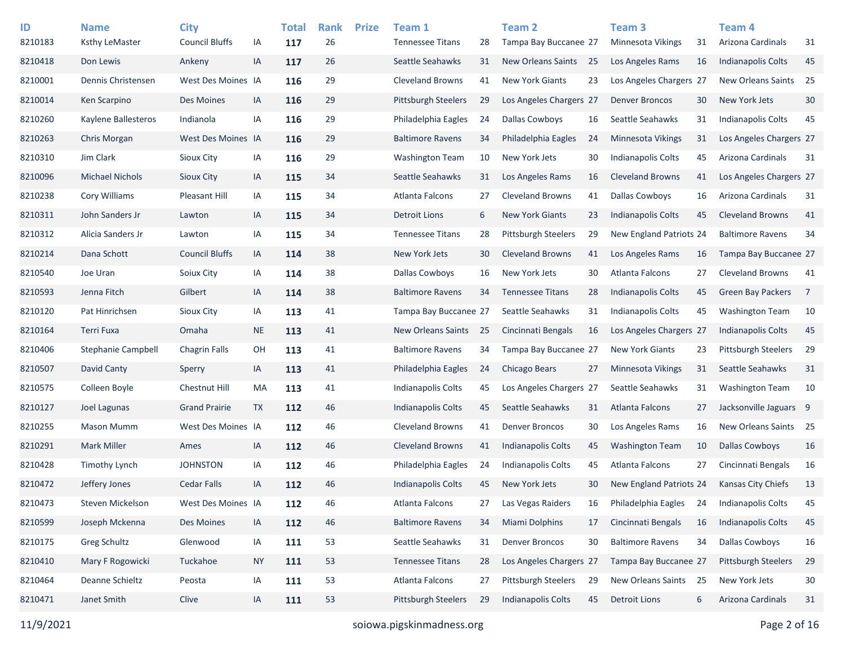| ID<br>8210183 | <b>Name</b>               | <b>City</b><br><b>Council Bluffs</b> |           | <b>Total</b> | <b>Rank</b><br>26 | <b>Prize</b> | Team 1<br><b>Tennessee Titans</b> |     | <b>Team 2</b><br>Tampa Bay Buccanee 27 |    | Team 3<br><b>Minnesota Vikings</b> |    | Team <sub>4</sub><br>Arizona Cardinals |                |
|---------------|---------------------------|--------------------------------------|-----------|--------------|-------------------|--------------|-----------------------------------|-----|----------------------------------------|----|------------------------------------|----|----------------------------------------|----------------|
|               | <b>Ksthy LeMaster</b>     |                                      | IA        | 117          |                   |              |                                   | 28  |                                        |    |                                    | 31 |                                        | 31             |
| 8210418       | Don Lewis                 | Ankeny                               | IA        | 117          | 26                |              | Seattle Seahawks                  | 31  | <b>New Orleans Saints</b>              | 25 | Los Angeles Rams                   | 16 | <b>Indianapolis Colts</b>              | 45             |
| 8210001       | Dennis Christensen        | West Des Moines IA                   |           | 116          | 29                |              | <b>Cleveland Browns</b>           | 41  | <b>New York Giants</b>                 | 23 | Los Angeles Chargers 27            |    | New Orleans Saints                     | 25             |
| 8210014       | Ken Scarpino              | Des Moines                           | IA        | 116          | 29                |              | Pittsburgh Steelers               | 29  | Los Angeles Chargers 27                |    | <b>Denver Broncos</b>              | 30 | New York Jets                          | 30             |
| 8210260       | Kaylene Ballesteros       | Indianola                            | IA        | 116          | 29                |              | Philadelphia Eagles               | 24  | <b>Dallas Cowboys</b>                  | 16 | Seattle Seahawks                   | 31 | <b>Indianapolis Colts</b>              | 45             |
| 8210263       | Chris Morgan              | West Des Moines IA                   |           | 116          | 29                |              | <b>Baltimore Ravens</b>           | 34  | Philadelphia Eagles                    | 24 | <b>Minnesota Vikings</b>           | 31 | Los Angeles Chargers 27                |                |
| 8210310       | Jim Clark                 | Sioux City                           | IA        | 116          | 29                |              | <b>Washington Team</b>            | 10  | New York Jets                          | 30 | Indianapolis Colts                 | 45 | Arizona Cardinals                      | 31             |
| 8210096       | <b>Michael Nichols</b>    | <b>Sioux City</b>                    | IA        | 115          | 34                |              | Seattle Seahawks                  | 31  | Los Angeles Rams                       | 16 | <b>Cleveland Browns</b>            | 41 | Los Angeles Chargers 27                |                |
| 8210238       | <b>Cory Williams</b>      | Pleasant Hill                        | IA        | 115          | 34                |              | Atlanta Falcons                   | 27  | <b>Cleveland Browns</b>                | 41 | Dallas Cowboys                     | 16 | Arizona Cardinals                      | 31             |
| 8210311       | John Sanders Jr           | Lawton                               | IA        | 115          | 34                |              | <b>Detroit Lions</b>              | 6   | <b>New York Giants</b>                 | 23 | <b>Indianapolis Colts</b>          | 45 | <b>Cleveland Browns</b>                | 41             |
| 8210312       | Alicia Sanders Jr         | Lawton                               | IA        | 115          | 34                |              | <b>Tennessee Titans</b>           | 28  | <b>Pittsburgh Steelers</b>             | 29 | New England Patriots 24            |    | <b>Baltimore Ravens</b>                | 34             |
| 8210214       | Dana Schott               | <b>Council Bluffs</b>                | IA        | 114          | 38                |              | New York Jets                     | 30  | <b>Cleveland Browns</b>                | 41 | Los Angeles Rams                   | 16 | Tampa Bay Buccanee 27                  |                |
| 8210540       | Joe Uran                  | Soiux City                           | IA        | 114          | 38                |              | <b>Dallas Cowboys</b>             | 16  | New York Jets                          | 30 | Atlanta Falcons                    | 27 | <b>Cleveland Browns</b>                | 41             |
| 8210593       | Jenna Fitch               | Gilbert                              | IA        | 114          | 38                |              | <b>Baltimore Ravens</b>           | 34  | <b>Tennessee Titans</b>                | 28 | Indianapolis Colts                 | 45 | Green Bay Packers                      | $\overline{7}$ |
| 8210120       | Pat Hinrichsen            | <b>Sioux City</b>                    | IA        | 113          | 41                |              | Tampa Bay Buccanee 27             |     | Seattle Seahawks                       | 31 | Indianapolis Colts                 | 45 | <b>Washington Team</b>                 | 10             |
| 8210164       | Terri Fuxa                | Omaha                                | <b>NE</b> | 113          | 41                |              | New Orleans Saints                | 25  | Cincinnati Bengals                     | 16 | Los Angeles Chargers 27            |    | <b>Indianapolis Colts</b>              | 45             |
| 8210406       | <b>Stephanie Campbell</b> | <b>Chagrin Falls</b>                 | OH        | 113          | 41                |              | <b>Baltimore Ravens</b>           | 34  | Tampa Bay Buccanee 27                  |    | <b>New York Giants</b>             | 23 | <b>Pittsburgh Steelers</b>             | 29             |
| 8210507       | David Canty               | Sperry                               | IA        | 113          | 41                |              | Philadelphia Eagles               | 24  | Chicago Bears                          | 27 | Minnesota Vikings                  | 31 | Seattle Seahawks                       | 31             |
| 8210575       | Colleen Boyle             | Chestnut Hill                        | MA        | 113          | 41                |              | Indianapolis Colts                | 45  | Los Angeles Chargers 27                |    | Seattle Seahawks                   | 31 | <b>Washington Team</b>                 | 10             |
| 8210127       | Joel Lagunas              | <b>Grand Prairie</b>                 | <b>TX</b> | 112          | 46                |              | Indianapolis Colts                | 45  | Seattle Seahawks                       | 31 | <b>Atlanta Falcons</b>             | 27 | Jacksonville Jaguars 9                 |                |
| 8210255       | Mason Mumm                | West Des Moines IA                   |           | 112          | 46                |              | <b>Cleveland Browns</b>           | 41  | <b>Denver Broncos</b>                  | 30 | Los Angeles Rams                   | 16 | New Orleans Saints 25                  |                |
| 8210291       | <b>Mark Miller</b>        | Ames                                 | IA        | 112          | 46                |              | <b>Cleveland Browns</b>           | 41  | <b>Indianapolis Colts</b>              | 45 | <b>Washington Team</b>             | 10 | <b>Dallas Cowboys</b>                  | 16             |
| 8210428       | <b>Timothy Lynch</b>      | <b>JOHNSTON</b>                      | IA        | 112          | 46                |              | Philadelphia Eagles               | 24  | Indianapolis Colts                     | 45 | Atlanta Falcons                    | 27 | Cincinnati Bengals                     | 16             |
| 8210472       | Jeffery Jones             | <b>Cedar Falls</b>                   | IA        | 112          | 46                |              | Indianapolis Colts                | 45  | New York Jets                          | 30 | New England Patriots 24            |    | <b>Kansas City Chiefs</b>              | 13             |
| 8210473       | Steven Mickelson          | West Des Moines IA                   |           | 112          | 46                |              | Atlanta Falcons                   | 27  | Las Vegas Raiders                      | 16 | Philadelphia Eagles                | 24 | Indianapolis Colts                     | 45             |
| 8210599       | Joseph Mckenna            | Des Moines                           | IA        | 112          | 46                |              | <b>Baltimore Ravens</b>           | 34  | Miami Dolphins                         | 17 | Cincinnati Bengals                 | 16 | <b>Indianapolis Colts</b>              | 45             |
| 8210175       | Greg Schultz              | Glenwood                             | IA        | 111          | 53                |              | Seattle Seahawks                  | 31  | <b>Denver Broncos</b>                  | 30 | <b>Baltimore Ravens</b>            | 34 | Dallas Cowboys                         | 16             |
| 8210410       | Mary F Rogowicki          | Tuckahoe                             | <b>NY</b> | 111          | 53                |              | <b>Tennessee Titans</b>           | 28  | Los Angeles Chargers 27                |    | Tampa Bay Buccanee 27              |    | Pittsburgh Steelers                    | 29             |
| 8210464       | Deanne Schieltz           | Peosta                               | IA        | 111          | 53                |              | Atlanta Falcons                   | 27  | <b>Pittsburgh Steelers</b>             | 29 | New Orleans Saints 25              |    | New York Jets                          | 30             |
| 8210471       | Janet Smith               | Clive                                | IA        | 111          | 53                |              | Pittsburgh Steelers               | -29 | <b>Indianapolis Colts</b>              | 45 | <b>Detroit Lions</b>               | 6  | Arizona Cardinals                      | 31             |
|               |                           |                                      |           |              |                   |              |                                   |     |                                        |    |                                    |    |                                        |                |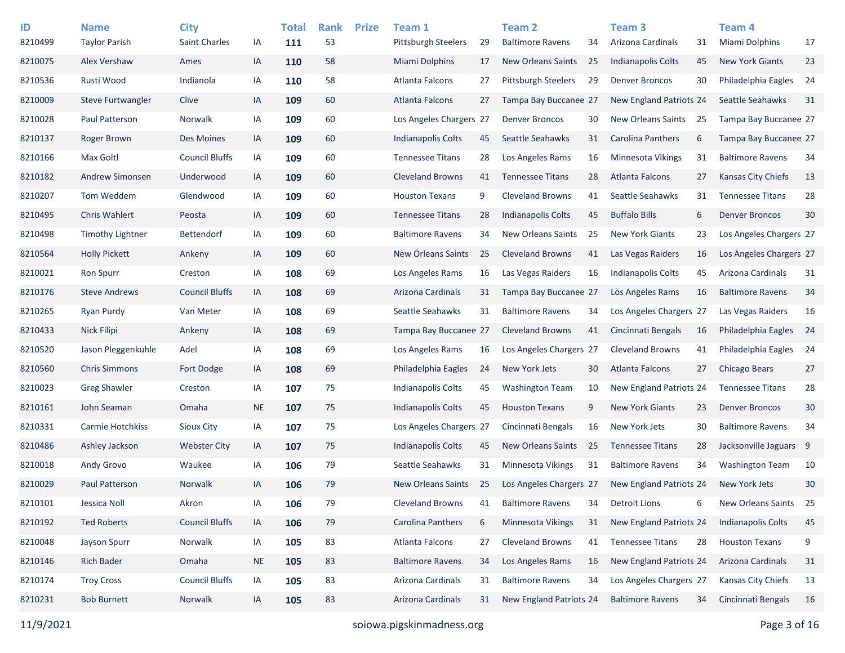| ID<br>8210499 | <b>Name</b><br><b>Taylor Parish</b> | <b>City</b><br><b>Saint Charles</b> | IA        | <b>Total</b><br>111 | <b>Rank</b><br>53 | <b>Prize</b> | Team 1<br><b>Pittsburgh Steelers</b> | 29  | <b>Team 2</b><br><b>Baltimore Ravens</b> | 34 | Team <sub>3</sub><br>Arizona Cardinals | 31 | Team 4<br>Miami Dolphins  | 17 |
|---------------|-------------------------------------|-------------------------------------|-----------|---------------------|-------------------|--------------|--------------------------------------|-----|------------------------------------------|----|----------------------------------------|----|---------------------------|----|
| 8210075       | Alex Vershaw                        | Ames                                | IA        | 110                 | 58                |              | Miami Dolphins                       | 17  | <b>New Orleans Saints</b>                | 25 | Indianapolis Colts                     | 45 | <b>New York Giants</b>    | 23 |
| 8210536       | Rusti Wood                          | Indianola                           | IA        | 110                 | 58                |              | Atlanta Falcons                      | 27  | <b>Pittsburgh Steelers</b>               | 29 | <b>Denver Broncos</b>                  | 30 | Philadelphia Eagles       | 24 |
| 8210009       | Steve Furtwangler                   | Clive                               | IA        | 109                 | 60                |              | Atlanta Falcons                      | 27  | Tampa Bay Buccanee 27                    |    | New England Patriots 24                |    | Seattle Seahawks          | 31 |
| 8210028       | Paul Patterson                      | Norwalk                             | IA        | 109                 | 60                |              | Los Angeles Chargers 27              |     | <b>Denver Broncos</b>                    | 30 | New Orleans Saints                     | 25 | Tampa Bay Buccanee 27     |    |
| 8210137       | Roger Brown                         | Des Moines                          | IA        | 109                 | 60                |              | <b>Indianapolis Colts</b>            | 45  | Seattle Seahawks                         | 31 | <b>Carolina Panthers</b>               | 6  | Tampa Bay Buccanee 27     |    |
| 8210166       | Max Goltl                           | <b>Council Bluffs</b>               | IA        | 109                 | 60                |              | <b>Tennessee Titans</b>              | 28  | Los Angeles Rams                         | 16 | <b>Minnesota Vikings</b>               | 31 | <b>Baltimore Ravens</b>   | 34 |
| 8210182       | <b>Andrew Simonsen</b>              | Underwood                           | IA        | 109                 | 60                |              | <b>Cleveland Browns</b>              | 41  | <b>Tennessee Titans</b>                  | 28 | <b>Atlanta Falcons</b>                 | 27 | Kansas City Chiefs        | 13 |
| 8210207       | Tom Weddem                          | Glendwood                           | IA        | 109                 | 60                |              | <b>Houston Texans</b>                | 9   | <b>Cleveland Browns</b>                  | 41 | Seattle Seahawks                       | 31 | <b>Tennessee Titans</b>   | 28 |
| 8210495       | <b>Chris Wahlert</b>                | Peosta                              | IA        | 109                 | 60                |              | <b>Tennessee Titans</b>              | 28  | Indianapolis Colts                       | 45 | <b>Buffalo Bills</b>                   | 6  | <b>Denver Broncos</b>     | 30 |
| 8210498       | <b>Timothy Lightner</b>             | Bettendorf                          | IA        | 109                 | 60                |              | <b>Baltimore Ravens</b>              | 34  | <b>New Orleans Saints</b>                | 25 | <b>New York Giants</b>                 | 23 | Los Angeles Chargers 27   |    |
| 8210564       | <b>Holly Pickett</b>                | Ankeny                              | IA        | 109                 | 60                |              | New Orleans Saints                   | 25  | <b>Cleveland Browns</b>                  | 41 | Las Vegas Raiders                      | 16 | Los Angeles Chargers 27   |    |
| 8210021       | <b>Ron Spurr</b>                    | Creston                             | IA        | 108                 | 69                |              | Los Angeles Rams                     | 16  | Las Vegas Raiders                        | 16 | <b>Indianapolis Colts</b>              | 45 | Arizona Cardinals         | 31 |
| 8210176       | <b>Steve Andrews</b>                | <b>Council Bluffs</b>               | IA        | 108                 | 69                |              | Arizona Cardinals                    | 31  | Tampa Bay Buccanee 27                    |    | Los Angeles Rams                       | 16 | <b>Baltimore Ravens</b>   | 34 |
| 8210265       | Ryan Purdy                          | Van Meter                           | IA        | 108                 | 69                |              | Seattle Seahawks                     | 31  | <b>Baltimore Ravens</b>                  | 34 | Los Angeles Chargers 27                |    | Las Vegas Raiders         | 16 |
| 8210433       | Nick Filipi                         | Ankeny                              | IA        | 108                 | 69                |              | Tampa Bay Buccanee 27                |     | <b>Cleveland Browns</b>                  | 41 | Cincinnati Bengals                     | 16 | Philadelphia Eagles       | 24 |
| 8210520       | Jason Pleggenkuhle                  | Adel                                | IA        | 108                 | 69                |              | Los Angeles Rams                     | 16  | Los Angeles Chargers 27                  |    | <b>Cleveland Browns</b>                | 41 | Philadelphia Eagles       | 24 |
| 8210560       | <b>Chris Simmons</b>                | Fort Dodge                          | IA        | 108                 | 69                |              | Philadelphia Eagles                  | -24 | New York Jets                            | 30 | <b>Atlanta Falcons</b>                 | 27 | <b>Chicago Bears</b>      | 27 |
| 8210023       | <b>Greg Shawler</b>                 | Creston                             | IA        | 107                 | 75                |              | <b>Indianapolis Colts</b>            | 45  | <b>Washington Team</b>                   | 10 | New England Patriots 24                |    | <b>Tennessee Titans</b>   | 28 |
| 8210161       | John Seaman                         | Omaha                               | <b>NE</b> | 107                 | 75                |              | Indianapolis Colts                   | 45  | <b>Houston Texans</b>                    | 9  | <b>New York Giants</b>                 | 23 | <b>Denver Broncos</b>     | 30 |
| 8210331       | Carmie Hotchkiss                    | Sioux City                          | IA        | 107                 | 75                |              | Los Angeles Chargers 27              |     | Cincinnati Bengals                       | 16 | New York Jets                          | 30 | <b>Baltimore Ravens</b>   | 34 |
| 8210486       | Ashley Jackson                      | <b>Webster City</b>                 | IA        | 107                 | 75                |              | <b>Indianapolis Colts</b>            | 45  | <b>New Orleans Saints</b>                | 25 | <b>Tennessee Titans</b>                | 28 | Jacksonville Jaguars 9    |    |
| 8210018       | Andy Grovo                          | Waukee                              | IA        | 106                 | 79                |              | Seattle Seahawks                     | 31  | Minnesota Vikings                        | 31 | <b>Baltimore Ravens</b>                | 34 | <b>Washington Team</b>    | 10 |
| 8210029       | Paul Patterson                      | Norwalk                             | IA        | 106                 | 79                |              | <b>New Orleans Saints</b>            | 25  | Los Angeles Chargers 27                  |    | New England Patriots 24                |    | New York Jets             | 30 |
| 8210101       | Jessica Noll                        | Akron                               | IA        | 106                 | 79                |              | Cleveland Browns                     | 41  | <b>Baltimore Ravens</b>                  | 34 | <b>Detroit Lions</b>                   | 6  | New Orleans Saints        | 25 |
| 8210192       | <b>Ted Roberts</b>                  | <b>Council Bluffs</b>               | IA        | 106                 | 79                |              | Carolina Panthers                    | 6   | Minnesota Vikings                        | 31 | New England Patriots 24                |    | <b>Indianapolis Colts</b> | 45 |
| 8210048       | Jayson Spurr                        | Norwalk                             | IA        | 105                 | 83                |              | Atlanta Falcons                      | 27  | <b>Cleveland Browns</b>                  | 41 | <b>Tennessee Titans</b>                | 28 | <b>Houston Texans</b>     | 9  |
| 8210146       | <b>Rich Bader</b>                   | Omaha                               | <b>NE</b> | 105                 | 83                |              | <b>Baltimore Ravens</b>              | 34  | Los Angeles Rams                         | 16 | New England Patriots 24                |    | Arizona Cardinals         | 31 |
| 8210174       | <b>Troy Cross</b>                   | <b>Council Bluffs</b>               | IA        | 105                 | 83                |              | Arizona Cardinals                    | 31  | <b>Baltimore Ravens</b>                  | 34 | Los Angeles Chargers 27                |    | Kansas City Chiefs        | 13 |
| 8210231       | <b>Bob Burnett</b>                  | Norwalk                             | IA        | 105                 | 83                |              | Arizona Cardinals                    | 31  | New England Patriots 24                  |    | <b>Baltimore Ravens</b>                | 34 | Cincinnati Bengals        | 16 |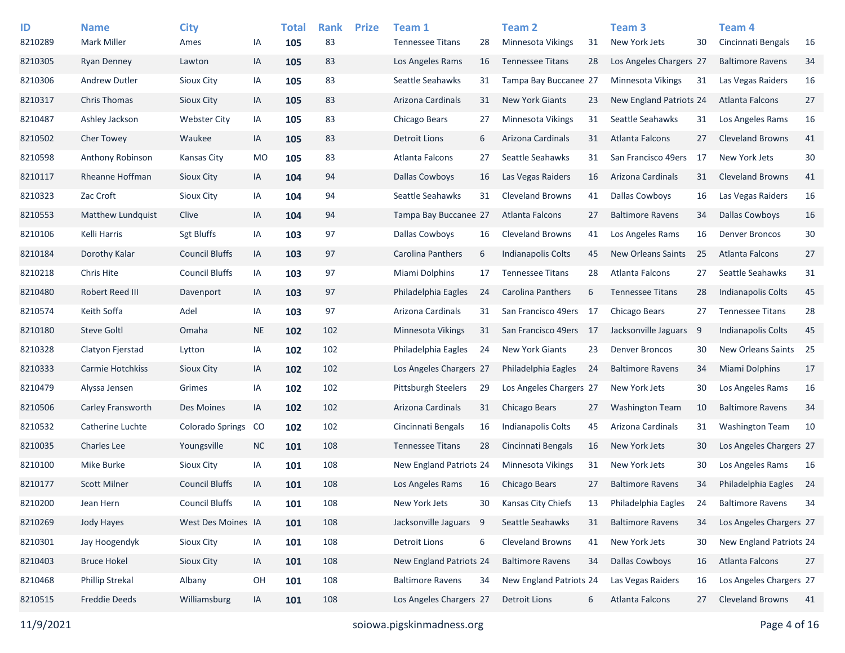| ID      | <b>Name</b>              | <b>City</b>             |           | Total | <b>Rank</b> | <b>Prize</b> | Team 1                  |    | <b>Team 2</b>             |    | <b>Team 3</b>            |     | Team 4                  |        |
|---------|--------------------------|-------------------------|-----------|-------|-------------|--------------|-------------------------|----|---------------------------|----|--------------------------|-----|-------------------------|--------|
| 8210289 | <b>Mark Miller</b>       | Ames                    | ΙA        | 105   | 83          |              | <b>Tennessee Titans</b> | 28 | <b>Minnesota Vikings</b>  | 31 | New York Jets            | 30  | Cincinnati Bengals      | 16     |
| 8210305 | <b>Ryan Denney</b>       | Lawton                  | IA        | 105   | 83          |              | Los Angeles Rams        | 16 | <b>Tennessee Titans</b>   | 28 | Los Angeles Chargers 27  |     | <b>Baltimore Ravens</b> | 34     |
| 8210306 | <b>Andrew Dutler</b>     | Sioux City              | IA        | 105   | 83          |              | Seattle Seahawks        | 31 | Tampa Bay Buccanee 27     |    | <b>Minnesota Vikings</b> | 31  | Las Vegas Raiders       | 16     |
| 8210317 | <b>Chris Thomas</b>      | <b>Sioux City</b>       | IA        | 105   | 83          |              | Arizona Cardinals       | 31 | <b>New York Giants</b>    | 23 | New England Patriots 24  |     | Atlanta Falcons         | 27     |
| 8210487 | Ashley Jackson           | <b>Webster City</b>     | IA        | 105   | 83          |              | Chicago Bears           | 27 | Minnesota Vikings         | 31 | Seattle Seahawks         | 31  | Los Angeles Rams        | 16     |
| 8210502 | <b>Cher Towey</b>        | Waukee                  | IA        | 105   | 83          |              | <b>Detroit Lions</b>    | 6  | Arizona Cardinals         | 31 | <b>Atlanta Falcons</b>   | 27  | <b>Cleveland Browns</b> | 41     |
| 8210598 | Anthony Robinson         | Kansas City             | <b>MO</b> | 105   | 83          |              | Atlanta Falcons         | 27 | Seattle Seahawks          | 31 | San Francisco 49ers      | -17 | New York Jets           | $30\,$ |
| 8210117 | Rheanne Hoffman          | <b>Sioux City</b>       | IA        | 104   | 94          |              | <b>Dallas Cowboys</b>   | 16 | Las Vegas Raiders         | 16 | Arizona Cardinals        | 31  | <b>Cleveland Browns</b> | 41     |
| 8210323 | Zac Croft                | Sioux City              | ΙA        | 104   | 94          |              | Seattle Seahawks        | 31 | <b>Cleveland Browns</b>   | 41 | <b>Dallas Cowboys</b>    | 16  | Las Vegas Raiders       | 16     |
| 8210553 | Matthew Lundquist        | Clive                   | IA        | 104   | 94          |              | Tampa Bay Buccanee 27   |    | Atlanta Falcons           | 27 | <b>Baltimore Ravens</b>  | 34  | <b>Dallas Cowboys</b>   | 16     |
| 8210106 | Kelli Harris             | <b>Sgt Bluffs</b>       | IA        | 103   | 97          |              | <b>Dallas Cowboys</b>   | 16 | <b>Cleveland Browns</b>   | 41 | Los Angeles Rams         | 16  | <b>Denver Broncos</b>   | 30     |
| 8210184 | Dorothy Kalar            | <b>Council Bluffs</b>   | IA        | 103   | 97          |              | Carolina Panthers       | 6  | Indianapolis Colts        | 45 | New Orleans Saints       | 25  | <b>Atlanta Falcons</b>  | 27     |
| 8210218 | Chris Hite               | <b>Council Bluffs</b>   | IA        | 103   | 97          |              | Miami Dolphins          | 17 | <b>Tennessee Titans</b>   | 28 | Atlanta Falcons          | 27  | Seattle Seahawks        | 31     |
| 8210480 | Robert Reed III          | Davenport               | IA        | 103   | 97          |              | Philadelphia Eagles     | 24 | Carolina Panthers         | 6  | <b>Tennessee Titans</b>  | 28  | Indianapolis Colts      | 45     |
| 8210574 | Keith Soffa              | Adel                    | IA        | 103   | 97          |              | Arizona Cardinals       | 31 | San Francisco 49ers       | 17 | Chicago Bears            | 27  | <b>Tennessee Titans</b> | 28     |
| 8210180 | <b>Steve Goltl</b>       | Omaha                   | <b>NE</b> | 102   | 102         |              | Minnesota Vikings       | 31 | San Francisco 49ers 17    |    | Jacksonville Jaguars     | - 9 | Indianapolis Colts      | 45     |
| 8210328 | Clatyon Fjerstad         | Lytton                  | ΙA        | 102   | 102         |              | Philadelphia Eagles     | 24 | <b>New York Giants</b>    | 23 | <b>Denver Broncos</b>    | 30  | New Orleans Saints      | 25     |
| 8210333 | Carmie Hotchkiss         | Sioux City              | IA        | 102   | 102         |              | Los Angeles Chargers 27 |    | Philadelphia Eagles       | 24 | <b>Baltimore Ravens</b>  | 34  | <b>Miami Dolphins</b>   | 17     |
| 8210479 | Alyssa Jensen            | Grimes                  | IA        | 102   | 102         |              | Pittsburgh Steelers     | 29 | Los Angeles Chargers 27   |    | New York Jets            | 30  | Los Angeles Rams        | 16     |
| 8210506 | <b>Carley Fransworth</b> | Des Moines              | IA        | 102   | 102         |              | Arizona Cardinals       | 31 | Chicago Bears             | 27 | <b>Washington Team</b>   | 10  | <b>Baltimore Ravens</b> | 34     |
| 8210532 | Catherine Luchte         | <b>Colorado Springs</b> | CO        | 102   | 102         |              | Cincinnati Bengals      | 16 | <b>Indianapolis Colts</b> | 45 | Arizona Cardinals        | 31  | <b>Washington Team</b>  | 10     |
| 8210035 | <b>Charles Lee</b>       | Youngsville             | <b>NC</b> | 101   | 108         |              | <b>Tennessee Titans</b> | 28 | Cincinnati Bengals        | 16 | New York Jets            | 30  | Los Angeles Chargers 27 |        |
| 8210100 | Mike Burke               | Sioux City              | IA        | 101   | 108         |              | New England Patriots 24 |    | Minnesota Vikings         | 31 | New York Jets            | 30  | Los Angeles Rams        | 16     |
| 8210177 | <b>Scott Milner</b>      | <b>Council Bluffs</b>   | IA        | 101   | 108         |              | Los Angeles Rams        | 16 | Chicago Bears             | 27 | <b>Baltimore Ravens</b>  | 34  | Philadelphia Eagles     | 24     |
| 8210200 | Jean Hern                | <b>Council Bluffs</b>   | IA        | 101   | 108         |              | New York Jets           | 30 | Kansas City Chiefs        | 13 | Philadelphia Eagles      | 24  | <b>Baltimore Ravens</b> | 34     |
| 8210269 | Jody Hayes               | West Des Moines IA      |           | 101   | 108         |              | Jacksonville Jaguars 9  |    | Seattle Seahawks          | 31 | <b>Baltimore Ravens</b>  | 34  | Los Angeles Chargers 27 |        |
| 8210301 | Jay Hoogendyk            | Sioux City              | IA        | 101   | 108         |              | <b>Detroit Lions</b>    | 6  | <b>Cleveland Browns</b>   | 41 | New York Jets            | 30  | New England Patriots 24 |        |
| 8210403 | <b>Bruce Hokel</b>       | Sioux City              | IA        | 101   | 108         |              | New England Patriots 24 |    | <b>Baltimore Ravens</b>   | 34 | <b>Dallas Cowboys</b>    | 16  | Atlanta Falcons         | 27     |
| 8210468 | Phillip Strekal          | Albany                  | OH        | 101   | 108         |              | <b>Baltimore Ravens</b> | 34 | New England Patriots 24   |    | Las Vegas Raiders        | 16  | Los Angeles Chargers 27 |        |
| 8210515 | <b>Freddie Deeds</b>     | Williamsburg            | IA        | 101   | 108         |              | Los Angeles Chargers 27 |    | <b>Detroit Lions</b>      | 6  | Atlanta Falcons          | 27  | <b>Cleveland Browns</b> | 41     |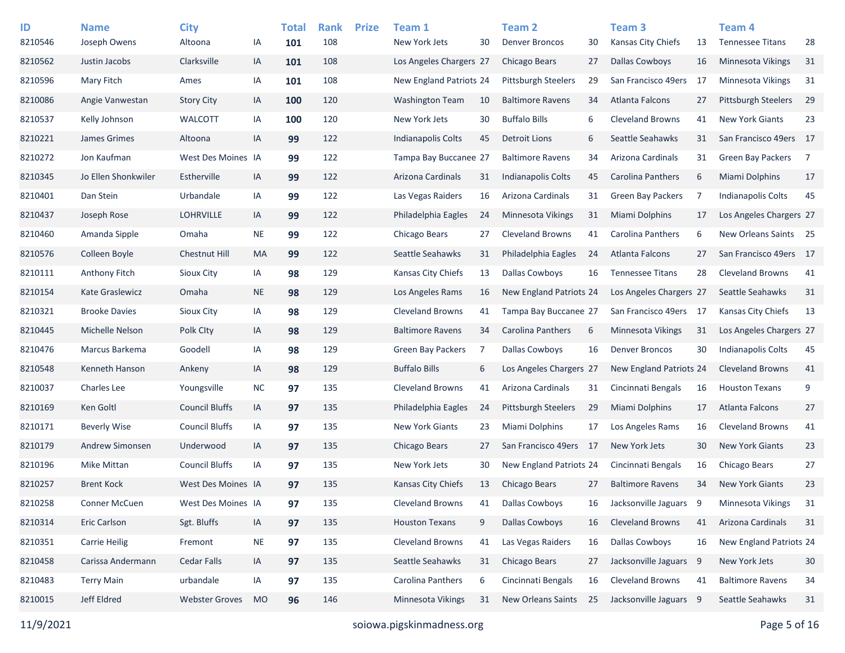| ID<br>8210546 | <b>Name</b><br>Joseph Owens | <b>City</b><br>Altoona | ΙA        | <b>Total</b><br>101 | <b>Rank</b><br>108 | <b>Prize</b> | Team 1<br>New York Jets  | 30 | Team 2<br><b>Denver Broncos</b> | 30   | Team <sub>3</sub><br><b>Kansas City Chiefs</b> | 13 | Team <sub>4</sub><br><b>Tennessee Titans</b> | 28             |
|---------------|-----------------------------|------------------------|-----------|---------------------|--------------------|--------------|--------------------------|----|---------------------------------|------|------------------------------------------------|----|----------------------------------------------|----------------|
| 8210562       | Justin Jacobs               | Clarksville            | IA        | 101                 | 108                |              | Los Angeles Chargers 27  |    | Chicago Bears                   | 27   | <b>Dallas Cowboys</b>                          | 16 | Minnesota Vikings                            | 31             |
| 8210596       | Mary Fitch                  | Ames                   | IA        | 101                 | 108                |              | New England Patriots 24  |    | <b>Pittsburgh Steelers</b>      | 29   | San Francisco 49ers                            | 17 | <b>Minnesota Vikings</b>                     | 31             |
| 8210086       | Angie Vanwestan             | <b>Story City</b>      | IA        | 100                 | 120                |              | <b>Washington Team</b>   | 10 | <b>Baltimore Ravens</b>         | 34   | Atlanta Falcons                                | 27 | <b>Pittsburgh Steelers</b>                   | 29             |
| 8210537       | Kelly Johnson               | <b>WALCOTT</b>         | IA        | 100                 | 120                |              | New York Jets            | 30 | <b>Buffalo Bills</b>            | 6    | <b>Cleveland Browns</b>                        | 41 | <b>New York Giants</b>                       | 23             |
| 8210221       | James Grimes                | Altoona                | IA        | 99                  | 122                |              | Indianapolis Colts       | 45 | Detroit Lions                   | 6    | Seattle Seahawks                               | 31 | San Francisco 49ers 17                       |                |
| 8210272       | Jon Kaufman                 | West Des Moines IA     |           | 99                  | 122                |              | Tampa Bay Buccanee 27    |    | <b>Baltimore Ravens</b>         | 34   | Arizona Cardinals                              | 31 | <b>Green Bay Packers</b>                     | $\overline{7}$ |
| 8210345       | Jo Ellen Shonkwiler         | Estherville            | IA        | 99                  | 122                |              | Arizona Cardinals        | 31 | <b>Indianapolis Colts</b>       | 45   | <b>Carolina Panthers</b>                       | 6  | Miami Dolphins                               | 17             |
| 8210401       | Dan Stein                   | Urbandale              | IA        | 99                  | 122                |              | Las Vegas Raiders        | 16 | Arizona Cardinals               | 31   | <b>Green Bay Packers</b>                       | 7  | <b>Indianapolis Colts</b>                    | 45             |
| 8210437       | Joseph Rose                 | <b>LOHRVILLE</b>       | IA        | 99                  | 122                |              | Philadelphia Eagles      | 24 | Minnesota Vikings               | 31   | <b>Miami Dolphins</b>                          | 17 | Los Angeles Chargers 27                      |                |
| 8210460       | Amanda Sipple               | Omaha                  | <b>NE</b> | 99                  | 122                |              | Chicago Bears            | 27 | <b>Cleveland Browns</b>         | 41   | Carolina Panthers                              | 6  | New Orleans Saints 25                        |                |
| 8210576       | Colleen Boyle               | Chestnut Hill          | MA        | 99                  | 122                |              | Seattle Seahawks         | 31 | Philadelphia Eagles             | 24   | <b>Atlanta Falcons</b>                         | 27 | San Francisco 49ers 17                       |                |
| 8210111       | Anthony Fitch               | <b>Sioux City</b>      | IA        | 98                  | 129                |              | Kansas City Chiefs       | 13 | <b>Dallas Cowboys</b>           | 16   | <b>Tennessee Titans</b>                        | 28 | <b>Cleveland Browns</b>                      | 41             |
| 8210154       | <b>Kate Graslewicz</b>      | Omaha                  | <b>NE</b> | 98                  | 129                |              | Los Angeles Rams         | 16 | New England Patriots 24         |      | Los Angeles Chargers 27                        |    | Seattle Seahawks                             | 31             |
| 8210321       | <b>Brooke Davies</b>        | <b>Sioux City</b>      | IA        | 98                  | 129                |              | <b>Cleveland Browns</b>  | 41 | Tampa Bay Buccanee 27           |      | San Francisco 49ers 17                         |    | Kansas City Chiefs                           | 13             |
| 8210445       | Michelle Nelson             | Polk City              | IA        | 98                  | 129                |              | <b>Baltimore Ravens</b>  | 34 | <b>Carolina Panthers</b>        | 6    | Minnesota Vikings                              | 31 | Los Angeles Chargers 27                      |                |
| 8210476       | Marcus Barkema              | Goodell                | IA        | 98                  | 129                |              | <b>Green Bay Packers</b> | 7  | <b>Dallas Cowboys</b>           | 16   | <b>Denver Broncos</b>                          | 30 | <b>Indianapolis Colts</b>                    | 45             |
| 8210548       | Kenneth Hanson              | Ankeny                 | IA        | 98                  | 129                |              | <b>Buffalo Bills</b>     | 6  | Los Angeles Chargers 27         |      | New England Patriots 24                        |    | <b>Cleveland Browns</b>                      | 41             |
| 8210037       | <b>Charles Lee</b>          | Youngsville            | <b>NC</b> | 97                  | 135                |              | <b>Cleveland Browns</b>  | 41 | Arizona Cardinals               | 31   | Cincinnati Bengals                             | 16 | <b>Houston Texans</b>                        | 9              |
| 8210169       | Ken Goltl                   | <b>Council Bluffs</b>  | IA        | 97                  | 135                |              | Philadelphia Eagles      | 24 | <b>Pittsburgh Steelers</b>      | 29   | Miami Dolphins                                 | 17 | <b>Atlanta Falcons</b>                       | 27             |
| 8210171       | <b>Beverly Wise</b>         | <b>Council Bluffs</b>  | IA        | 97                  | 135                |              | New York Giants          | 23 | Miami Dolphins                  | 17   | Los Angeles Rams                               | 16 | <b>Cleveland Browns</b>                      | 41             |
| 8210179       | Andrew Simonsen             | Underwood              | IA        | 97                  | 135                |              | Chicago Bears            | 27 | San Francisco 49ers             | - 17 | New York Jets                                  | 30 | <b>New York Giants</b>                       | 23             |
| 8210196       | Mike Mittan                 | <b>Council Bluffs</b>  | IA        | 97                  | 135                |              | New York Jets            | 30 | New England Patriots 24         |      | Cincinnati Bengals                             | 16 | Chicago Bears                                | 27             |
| 8210257       | <b>Brent Kock</b>           | West Des Moines IA     |           | 97                  | 135                |              | Kansas City Chiefs       | 13 | Chicago Bears                   | 27   | <b>Baltimore Ravens</b>                        | 34 | <b>New York Giants</b>                       | 23             |
| 8210258       | Conner McCuen               | West Des Moines IA     |           | 97                  | 135                |              | <b>Cleveland Browns</b>  | 41 | <b>Dallas Cowboys</b>           | 16   | Jacksonville Jaguars                           | 9  | Minnesota Vikings                            | 31             |
| 8210314       | Eric Carlson                | Sgt. Bluffs            | IA        | 97                  | 135                |              | <b>Houston Texans</b>    | 9  | <b>Dallas Cowboys</b>           | 16   | <b>Cleveland Browns</b>                        | 41 | Arizona Cardinals                            | 31             |
| 8210351       | <b>Carrie Heilig</b>        | Fremont                | <b>NE</b> | 97                  | 135                |              | Cleveland Browns         | 41 | Las Vegas Raiders               | 16   | Dallas Cowboys                                 | 16 | New England Patriots 24                      |                |
| 8210458       | Carissa Andermann           | <b>Cedar Falls</b>     | IA        | 97                  | 135                |              | Seattle Seahawks         | 31 | Chicago Bears                   | 27   | Jacksonville Jaguars 9                         |    | New York Jets                                | 30             |
| 8210483       | <b>Terry Main</b>           | urbandale              | IA        | 97                  | 135                |              | Carolina Panthers        | 6  | Cincinnati Bengals              | 16   | <b>Cleveland Browns</b>                        | 41 | <b>Baltimore Ravens</b>                      | 34             |
| 8210015       | Jeff Eldred                 | <b>Webster Groves</b>  | <b>MO</b> | 96                  | 146                |              | Minnesota Vikings        | 31 | New Orleans Saints              | 25   | Jacksonville Jaguars 9                         |    | Seattle Seahawks                             | 31             |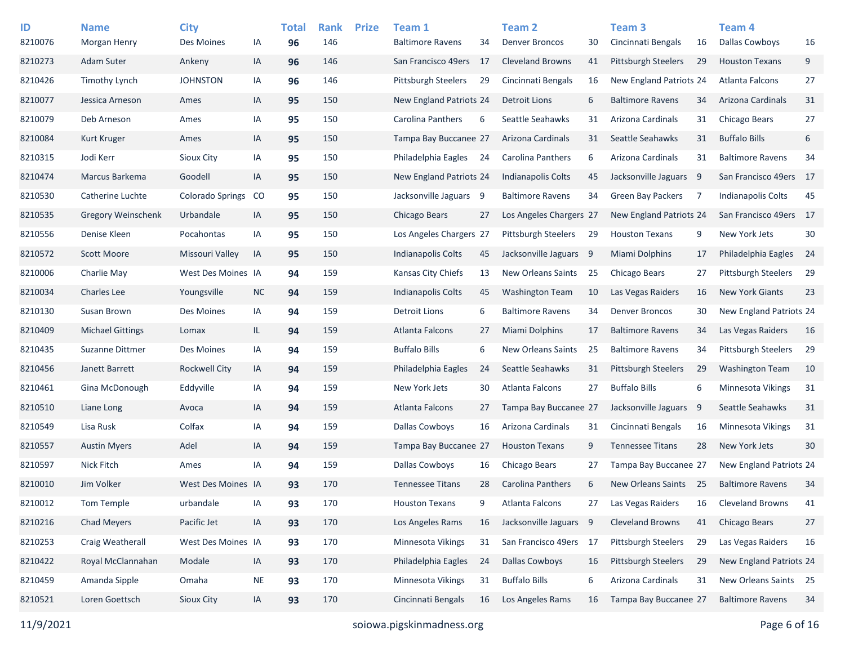| ID<br>8210076 | <b>Name</b><br><b>Morgan Henry</b> | <b>City</b><br>Des Moines | IA        | <b>Total</b><br>96 | <b>Rank</b><br>146 | <b>Prize</b> | Team 1<br><b>Baltimore Ravens</b> | 34  | <b>Team 2</b><br><b>Denver Broncos</b> | 30 | Team <sub>3</sub><br>Cincinnati Bengals | 16  | Team <sub>4</sub><br><b>Dallas Cowboys</b> | 16 |
|---------------|------------------------------------|---------------------------|-----------|--------------------|--------------------|--------------|-----------------------------------|-----|----------------------------------------|----|-----------------------------------------|-----|--------------------------------------------|----|
| 8210273       | <b>Adam Suter</b>                  | Ankeny                    | IA        | 96                 | 146                |              | San Francisco 49ers               | -17 | <b>Cleveland Browns</b>                | 41 | <b>Pittsburgh Steelers</b>              | 29  | <b>Houston Texans</b>                      | 9  |
| 8210426       | <b>Timothy Lynch</b>               | <b>JOHNSTON</b>           | IA        | 96                 | 146                |              | <b>Pittsburgh Steelers</b>        | 29  | Cincinnati Bengals                     | 16 | New England Patriots 24                 |     | Atlanta Falcons                            | 27 |
| 8210077       | Jessica Arneson                    | Ames                      | IA        | 95                 | 150                |              | New England Patriots 24           |     | Detroit Lions                          | 6  | <b>Baltimore Ravens</b>                 | 34  | Arizona Cardinals                          | 31 |
| 8210079       | Deb Arneson                        | Ames                      | IA        | 95                 | 150                |              | <b>Carolina Panthers</b>          | 6   | Seattle Seahawks                       | 31 | Arizona Cardinals                       | 31  | Chicago Bears                              | 27 |
| 8210084       | Kurt Kruger                        | Ames                      | IA        | 95                 | 150                |              | Tampa Bay Buccanee 27             |     | Arizona Cardinals                      | 31 | Seattle Seahawks                        | 31  | <b>Buffalo Bills</b>                       | 6  |
| 8210315       | Jodi Kerr                          | Sioux City                | IA        | 95                 | 150                |              | Philadelphia Eagles               | 24  | <b>Carolina Panthers</b>               | 6  | Arizona Cardinals                       | 31  | <b>Baltimore Ravens</b>                    | 34 |
| 8210474       | Marcus Barkema                     | Goodell                   | IA        | 95                 | 150                |              | New England Patriots 24           |     | Indianapolis Colts                     | 45 | Jacksonville Jaguars 9                  |     | San Francisco 49ers 17                     |    |
| 8210530       | Catherine Luchte                   | <b>Colorado Springs</b>   | CO        | 95                 | 150                |              | Jacksonville Jaguars 9            |     | <b>Baltimore Ravens</b>                | 34 | <b>Green Bay Packers</b>                | -7  | <b>Indianapolis Colts</b>                  | 45 |
| 8210535       | <b>Gregory Weinschenk</b>          | Urbandale                 | IA        | 95                 | 150                |              | Chicago Bears                     | 27  | Los Angeles Chargers 27                |    | New England Patriots 24                 |     | San Francisco 49ers                        | 17 |
| 8210556       | Denise Kleen                       | Pocahontas                | IA        | 95                 | 150                |              | Los Angeles Chargers 27           |     | <b>Pittsburgh Steelers</b>             | 29 | <b>Houston Texans</b>                   | 9   | New York Jets                              | 30 |
| 8210572       | <b>Scott Moore</b>                 | Missouri Valley           | IA        | 95                 | 150                |              | Indianapolis Colts                | 45  | Jacksonville Jaguars 9                 |    | Miami Dolphins                          | 17  | Philadelphia Eagles                        | 24 |
| 8210006       | Charlie May                        | West Des Moines IA        |           | 94                 | 159                |              | Kansas City Chiefs                | 13  | <b>New Orleans Saints</b>              | 25 | Chicago Bears                           | 27  | <b>Pittsburgh Steelers</b>                 | 29 |
| 8210034       | <b>Charles Lee</b>                 | Youngsville               | <b>NC</b> | 94                 | 159                |              | Indianapolis Colts                | 45  | <b>Washington Team</b>                 | 10 | Las Vegas Raiders                       | 16  | <b>New York Giants</b>                     | 23 |
| 8210130       | Susan Brown                        | Des Moines                | IA        | 94                 | 159                |              | Detroit Lions                     | 6   | <b>Baltimore Ravens</b>                | 34 | <b>Denver Broncos</b>                   | 30  | New England Patriots 24                    |    |
| 8210409       | <b>Michael Gittings</b>            | Lomax                     | IL.       | 94                 | 159                |              | Atlanta Falcons                   | 27  | <b>Miami Dolphins</b>                  | 17 | <b>Baltimore Ravens</b>                 | 34  | Las Vegas Raiders                          | 16 |
| 8210435       | Suzanne Dittmer                    | Des Moines                | IA        | 94                 | 159                |              | <b>Buffalo Bills</b>              | 6   | <b>New Orleans Saints</b>              | 25 | <b>Baltimore Ravens</b>                 | 34  | <b>Pittsburgh Steelers</b>                 | 29 |
| 8210456       | Janett Barrett                     | Rockwell City             | IA        | 94                 | 159                |              | Philadelphia Eagles               | 24  | Seattle Seahawks                       | 31 | <b>Pittsburgh Steelers</b>              | 29  | <b>Washington Team</b>                     | 10 |
| 8210461       | Gina McDonough                     | Eddyville                 | IA        | 94                 | 159                |              | New York Jets                     | 30  | Atlanta Falcons                        | 27 | <b>Buffalo Bills</b>                    | 6   | <b>Minnesota Vikings</b>                   | 31 |
| 8210510       | Liane Long                         | Avoca                     | IA        | 94                 | 159                |              | <b>Atlanta Falcons</b>            | 27  | Tampa Bay Buccanee 27                  |    | Jacksonville Jaguars                    | - 9 | Seattle Seahawks                           | 31 |
| 8210549       | Lisa Rusk                          | Colfax                    | IA        | 94                 | 159                |              | <b>Dallas Cowboys</b>             | 16  | Arizona Cardinals                      | 31 | Cincinnati Bengals                      | 16  | <b>Minnesota Vikings</b>                   | 31 |
| 8210557       | <b>Austin Myers</b>                | Adel                      | IA        | 94                 | 159                |              | Tampa Bay Buccanee 27             |     | <b>Houston Texans</b>                  | 9  | <b>Tennessee Titans</b>                 | 28  | New York Jets                              | 30 |
| 8210597       | <b>Nick Fitch</b>                  | Ames                      | IA        | 94                 | 159                |              | Dallas Cowboys                    | 16  | Chicago Bears                          | 27 | Tampa Bay Buccanee 27                   |     | New England Patriots 24                    |    |
| 8210010       | Jim Volker                         | West Des Moines IA        |           | 93                 | 170                |              | <b>Tennessee Titans</b>           | 28  | Carolina Panthers                      | 6  | New Orleans Saints                      | 25  | <b>Baltimore Ravens</b>                    | 34 |
| 8210012       | Tom Temple                         | urbandale                 | IA        | 93                 | 170                |              | <b>Houston Texans</b>             | 9   | Atlanta Falcons                        | 27 | Las Vegas Raiders                       | 16  | <b>Cleveland Browns</b>                    | 41 |
| 8210216       | Chad Meyers                        | Pacific Jet               | IA        | 93                 | 170                |              | Los Angeles Rams                  | 16  | Jacksonville Jaguars 9                 |    | Cleveland Browns                        | 41  | Chicago Bears                              | 27 |
| 8210253       | Craig Weatherall                   | West Des Moines IA        |           | 93                 | 170                |              | Minnesota Vikings                 | 31  | San Francisco 49ers 17                 |    | Pittsburgh Steelers                     | 29  | Las Vegas Raiders                          | 16 |
| 8210422       | Royal McClannahan                  | Modale                    | $\sf IA$  | 93                 | 170                |              | Philadelphia Eagles               | 24  | <b>Dallas Cowboys</b>                  | 16 | <b>Pittsburgh Steelers</b>              | 29  | New England Patriots 24                    |    |
| 8210459       | Amanda Sipple                      | Omaha                     | <b>NE</b> | 93                 | 170                |              | Minnesota Vikings                 | 31  | <b>Buffalo Bills</b>                   | 6  | Arizona Cardinals                       | 31  | New Orleans Saints 25                      |    |
| 8210521       | Loren Goettsch                     | Sioux City                | IA        | 93                 | 170                |              | Cincinnati Bengals                | 16  | Los Angeles Rams                       | 16 | Tampa Bay Buccanee 27                   |     | <b>Baltimore Ravens</b>                    | 34 |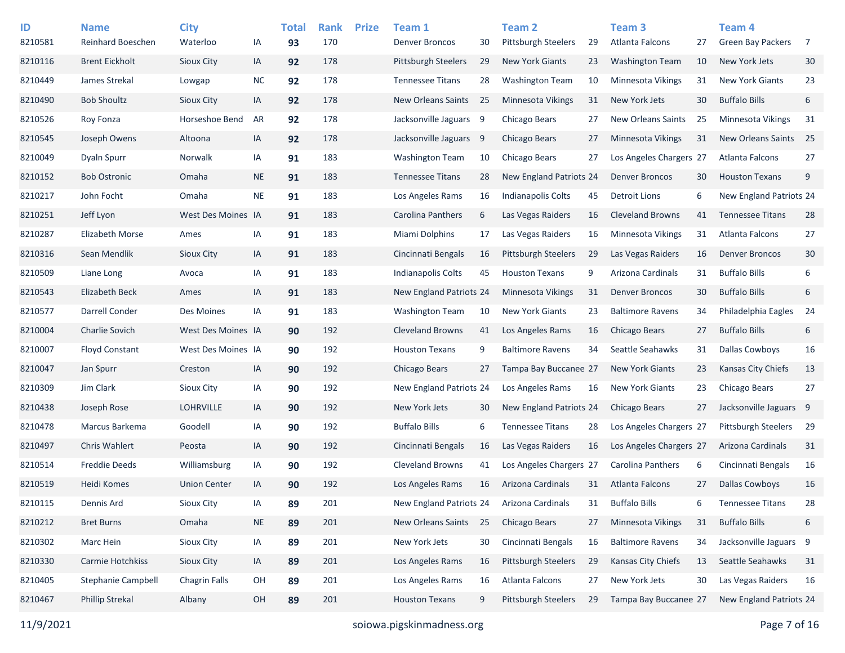| ID<br>8210581 | <b>Name</b><br>Reinhard Boeschen | <b>City</b><br>Waterloo | IA        | <b>Total</b><br>93 | <b>Rank</b><br>170 | <b>Prize</b> | Team 1<br><b>Denver Broncos</b> | 30  | <b>Team 2</b><br><b>Pittsburgh Steelers</b> | 29 | Team 3<br>Atlanta Falcons | 27 | Team <sub>4</sub><br><b>Green Bay Packers</b> | $\overline{7}$ |
|---------------|----------------------------------|-------------------------|-----------|--------------------|--------------------|--------------|---------------------------------|-----|---------------------------------------------|----|---------------------------|----|-----------------------------------------------|----------------|
| 8210116       | <b>Brent Eickholt</b>            | <b>Sioux City</b>       | IA        | 92                 | 178                |              | <b>Pittsburgh Steelers</b>      | -29 | <b>New York Giants</b>                      | 23 | <b>Washington Team</b>    | 10 | New York Jets                                 | 30             |
| 8210449       | James Strekal                    | Lowgap                  | <b>NC</b> | 92                 | 178                |              | <b>Tennessee Titans</b>         | 28  | <b>Washington Team</b>                      | 10 | <b>Minnesota Vikings</b>  | 31 | <b>New York Giants</b>                        | 23             |
| 8210490       | <b>Bob Shoultz</b>               | <b>Sioux City</b>       | IA        | 92                 | 178                |              | New Orleans Saints              | 25  | <b>Minnesota Vikings</b>                    | 31 | New York Jets             | 30 | <b>Buffalo Bills</b>                          | 6              |
| 8210526       | Roy Fonza                        | Horseshoe Bend          | AR        | 92                 | 178                |              | Jacksonville Jaguars            | 9   | Chicago Bears                               | 27 | New Orleans Saints        | 25 | <b>Minnesota Vikings</b>                      | 31             |
| 8210545       | Joseph Owens                     | Altoona                 | IA        | 92                 | 178                |              | Jacksonville Jaguars 9          |     | Chicago Bears                               | 27 | <b>Minnesota Vikings</b>  | 31 | <b>New Orleans Saints</b>                     | 25             |
| 8210049       | <b>Dyaln Spurr</b>               | Norwalk                 | IA        | 91                 | 183                |              | <b>Washington Team</b>          | 10  | Chicago Bears                               | 27 | Los Angeles Chargers 27   |    | Atlanta Falcons                               | 27             |
| 8210152       | <b>Bob Ostronic</b>              | Omaha                   | <b>NE</b> | 91                 | 183                |              | <b>Tennessee Titans</b>         | 28  | New England Patriots 24                     |    | <b>Denver Broncos</b>     | 30 | <b>Houston Texans</b>                         | 9              |
| 8210217       | John Focht                       | Omaha                   | <b>NE</b> | 91                 | 183                |              | Los Angeles Rams                | 16  | Indianapolis Colts                          | 45 | Detroit Lions             | 6  | New England Patriots 24                       |                |
| 8210251       | Jeff Lyon                        | West Des Moines IA      |           | 91                 | 183                |              | Carolina Panthers               | 6   | Las Vegas Raiders                           | 16 | <b>Cleveland Browns</b>   | 41 | <b>Tennessee Titans</b>                       | 28             |
| 8210287       | <b>Elizabeth Morse</b>           | Ames                    | IA        | 91                 | 183                |              | Miami Dolphins                  | 17  | Las Vegas Raiders                           | 16 | <b>Minnesota Vikings</b>  | 31 | Atlanta Falcons                               | 27             |
| 8210316       | Sean Mendlik                     | Sioux City              | IA        | 91                 | 183                |              | Cincinnati Bengals              | 16  | Pittsburgh Steelers                         | 29 | Las Vegas Raiders         | 16 | <b>Denver Broncos</b>                         | 30             |
| 8210509       | Liane Long                       | Avoca                   | IA        | 91                 | 183                |              | <b>Indianapolis Colts</b>       | 45  | <b>Houston Texans</b>                       | 9  | Arizona Cardinals         | 31 | <b>Buffalo Bills</b>                          | 6              |
| 8210543       | <b>Elizabeth Beck</b>            | Ames                    | IA        | 91                 | 183                |              | New England Patriots 24         |     | Minnesota Vikings                           | 31 | <b>Denver Broncos</b>     | 30 | <b>Buffalo Bills</b>                          | 6              |
| 8210577       | Darrell Conder                   | Des Moines              | IA        | 91                 | 183                |              | <b>Washington Team</b>          | 10  | <b>New York Giants</b>                      | 23 | <b>Baltimore Ravens</b>   | 34 | Philadelphia Eagles                           | 24             |
| 8210004       | <b>Charlie Sovich</b>            | West Des Moines IA      |           | 90                 | 192                |              | <b>Cleveland Browns</b>         | 41  | Los Angeles Rams                            | 16 | Chicago Bears             | 27 | <b>Buffalo Bills</b>                          | 6              |
| 8210007       | <b>Floyd Constant</b>            | West Des Moines IA      |           | 90                 | 192                |              | <b>Houston Texans</b>           | 9   | <b>Baltimore Ravens</b>                     | 34 | Seattle Seahawks          | 31 | <b>Dallas Cowboys</b>                         | 16             |
| 8210047       | Jan Spurr                        | Creston                 | IA        | 90                 | 192                |              | <b>Chicago Bears</b>            | 27  | Tampa Bay Buccanee 27                       |    | <b>New York Giants</b>    | 23 | Kansas City Chiefs                            | 13             |
| 8210309       | Jim Clark                        | Sioux City              | IA        | 90                 | 192                |              | New England Patriots 24         |     | Los Angeles Rams                            | 16 | <b>New York Giants</b>    | 23 | Chicago Bears                                 | 27             |
| 8210438       | Joseph Rose                      | <b>LOHRVILLE</b>        | IA        | 90                 | 192                |              | New York Jets                   | 30  | New England Patriots 24                     |    | Chicago Bears             | 27 | Jacksonville Jaguars 9                        |                |
| 8210478       | Marcus Barkema                   | Goodell                 | IA        | 90                 | 192                |              | <b>Buffalo Bills</b>            | 6   | <b>Tennessee Titans</b>                     | 28 | Los Angeles Chargers 27   |    | <b>Pittsburgh Steelers</b>                    | 29             |
| 8210497       | <b>Chris Wahlert</b>             | Peosta                  | IA        | 90                 | 192                |              | Cincinnati Bengals              | 16  | Las Vegas Raiders                           | 16 | Los Angeles Chargers 27   |    | Arizona Cardinals                             | 31             |
| 8210514       | <b>Freddie Deeds</b>             | Williamsburg            | IA        | 90                 | 192                |              | <b>Cleveland Browns</b>         | 41  | Los Angeles Chargers 27                     |    | <b>Carolina Panthers</b>  | 6  | Cincinnati Bengals                            | 16             |
| 8210519       | Heidi Komes                      | <b>Union Center</b>     | IA        | 90                 | 192                |              | Los Angeles Rams                | 16  | <b>Arizona Cardinals</b>                    | 31 | Atlanta Falcons           | 27 | <b>Dallas Cowboys</b>                         | 16             |
| 8210115       | Dennis Ard                       | Sioux City              | IA        | 89                 | 201                |              | New England Patriots 24         |     | Arizona Cardinals                           | 31 | <b>Buffalo Bills</b>      | 6  | <b>Tennessee Titans</b>                       | 28             |
| 8210212       | <b>Bret Burns</b>                | Omaha                   | <b>NE</b> | 89                 | 201                |              | New Orleans Saints              | 25  | Chicago Bears                               | 27 | Minnesota Vikings         | 31 | <b>Buffalo Bills</b>                          | 6              |
| 8210302       | Marc Hein                        | Sioux City              | IA        | 89                 | 201                |              | New York Jets                   | 30  | Cincinnati Bengals                          | 16 | <b>Baltimore Ravens</b>   | 34 | Jacksonville Jaguars 9                        |                |
| 8210330       | Carmie Hotchkiss                 | Sioux City              | IA        | 89                 | 201                |              | Los Angeles Rams                | 16  | Pittsburgh Steelers                         | 29 | Kansas City Chiefs        | 13 | Seattle Seahawks                              | 31             |
| 8210405       | Stephanie Campbell               | <b>Chagrin Falls</b>    | OH        | 89                 | 201                |              | Los Angeles Rams                | 16  | Atlanta Falcons                             | 27 | New York Jets             | 30 | Las Vegas Raiders                             | 16             |
| 8210467       | <b>Phillip Strekal</b>           | Albany                  | OH        | 89                 | 201                |              | <b>Houston Texans</b>           | 9   | <b>Pittsburgh Steelers</b>                  | 29 | Tampa Bay Buccanee 27     |    | New England Patriots 24                       |                |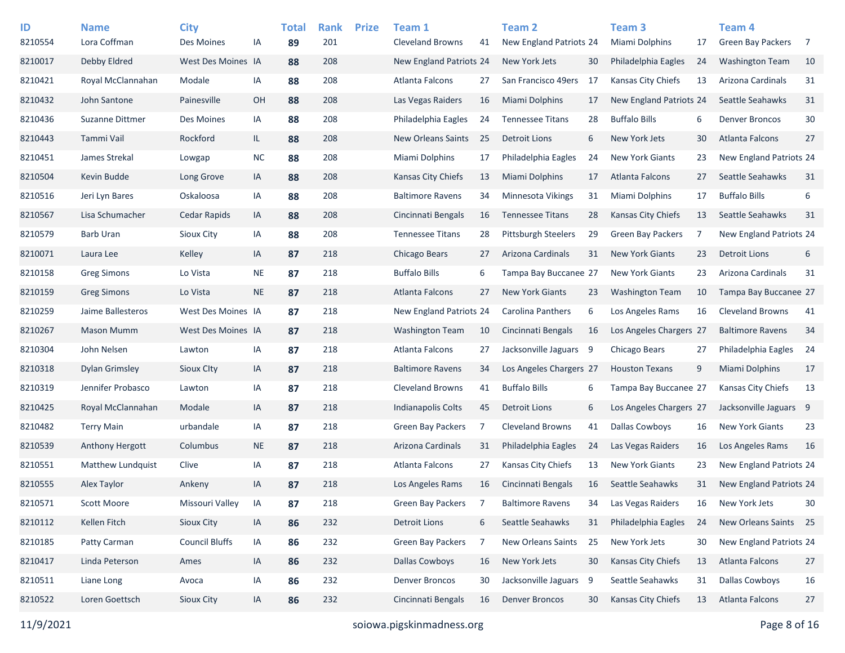| ID<br>8210554 | <b>Name</b><br>Lora Coffman | <b>City</b><br>Des Moines | IA        | <b>Total</b><br>89 | <b>Rank</b><br>201 | <b>Prize</b> | Team 1<br><b>Cleveland Browns</b> | 41 | <b>Team 2</b><br>New England Patriots 24 |    | Team <sub>3</sub><br>Miami Dolphins | 17 | <b>Team 4</b><br><b>Green Bay Packers</b> | $\overline{7}$ |
|---------------|-----------------------------|---------------------------|-----------|--------------------|--------------------|--------------|-----------------------------------|----|------------------------------------------|----|-------------------------------------|----|-------------------------------------------|----------------|
| 8210017       | Debby Eldred                | West Des Moines IA        |           | 88                 | 208                |              | New England Patriots 24           |    | New York Jets                            | 30 | Philadelphia Eagles                 | 24 | <b>Washington Team</b>                    | 10             |
| 8210421       | Royal McClannahan           | Modale                    | IA        | 88                 | 208                |              | Atlanta Falcons                   | 27 | San Francisco 49ers                      | 17 | Kansas City Chiefs                  | 13 | Arizona Cardinals                         | 31             |
| 8210432       | John Santone                | Painesville               | OH        | 88                 | 208                |              | Las Vegas Raiders                 | 16 | <b>Miami Dolphins</b>                    | 17 | New England Patriots 24             |    | Seattle Seahawks                          | 31             |
| 8210436       | Suzanne Dittmer             | Des Moines                | IA        | 88                 | 208                |              | Philadelphia Eagles               | 24 | <b>Tennessee Titans</b>                  | 28 | <b>Buffalo Bills</b>                | 6  | <b>Denver Broncos</b>                     | 30             |
| 8210443       | Tammi Vail                  | Rockford                  | IL.       | 88                 | 208                |              | New Orleans Saints                | 25 | Detroit Lions                            | 6  | New York Jets                       | 30 | <b>Atlanta Falcons</b>                    | 27             |
| 8210451       | James Strekal               | Lowgap                    | <b>NC</b> | 88                 | 208                |              | Miami Dolphins                    | 17 | Philadelphia Eagles                      | 24 | <b>New York Giants</b>              | 23 | New England Patriots 24                   |                |
| 8210504       | Kevin Budde                 | Long Grove                | IA        | 88                 | 208                |              | Kansas City Chiefs                | 13 | <b>Miami Dolphins</b>                    | 17 | <b>Atlanta Falcons</b>              | 27 | Seattle Seahawks                          | 31             |
| 8210516       | Jeri Lyn Bares              | Oskaloosa                 | IA        | 88                 | 208                |              | <b>Baltimore Ravens</b>           | 34 | <b>Minnesota Vikings</b>                 | 31 | Miami Dolphins                      | 17 | <b>Buffalo Bills</b>                      | 6              |
| 8210567       | Lisa Schumacher             | Cedar Rapids              | IA        | 88                 | 208                |              | Cincinnati Bengals                | 16 | <b>Tennessee Titans</b>                  | 28 | Kansas City Chiefs                  | 13 | Seattle Seahawks                          | 31             |
| 8210579       | <b>Barb Uran</b>            | Sioux City                | IA        | 88                 | 208                |              | <b>Tennessee Titans</b>           | 28 | <b>Pittsburgh Steelers</b>               | 29 | <b>Green Bay Packers</b>            | 7  | New England Patriots 24                   |                |
| 8210071       | Laura Lee                   | Kelley                    | IA        | 87                 | 218                |              | Chicago Bears                     | 27 | Arizona Cardinals                        | 31 | <b>New York Giants</b>              | 23 | <b>Detroit Lions</b>                      | 6              |
| 8210158       | <b>Greg Simons</b>          | Lo Vista                  | <b>NE</b> | 87                 | 218                |              | <b>Buffalo Bills</b>              | 6  | Tampa Bay Buccanee 27                    |    | <b>New York Giants</b>              | 23 | Arizona Cardinals                         | 31             |
| 8210159       | <b>Greg Simons</b>          | Lo Vista                  | <b>NE</b> | 87                 | 218                |              | Atlanta Falcons                   | 27 | <b>New York Giants</b>                   | 23 | <b>Washington Team</b>              | 10 | Tampa Bay Buccanee 27                     |                |
| 8210259       | Jaime Ballesteros           | West Des Moines IA        |           | 87                 | 218                |              | <b>New England Patriots 24</b>    |    | Carolina Panthers                        | 6  | Los Angeles Rams                    | 16 | <b>Cleveland Browns</b>                   | 41             |
| 8210267       | <b>Mason Mumm</b>           | West Des Moines IA        |           | 87                 | 218                |              | <b>Washington Team</b>            | 10 | Cincinnati Bengals                       | 16 | Los Angeles Chargers 27             |    | <b>Baltimore Ravens</b>                   | 34             |
| 8210304       | John Nelsen                 | Lawton                    | IA        | 87                 | 218                |              | Atlanta Falcons                   | 27 | Jacksonville Jaguars 9                   |    | Chicago Bears                       | 27 | Philadelphia Eagles                       | 24             |
| 8210318       | Dylan Grimsley              | Sioux City                | IA        | 87                 | 218                |              | <b>Baltimore Ravens</b>           | 34 | Los Angeles Chargers 27                  |    | <b>Houston Texans</b>               | 9  | Miami Dolphins                            | 17             |
| 8210319       | Jennifer Probasco           | Lawton                    | IA        | 87                 | 218                |              | <b>Cleveland Browns</b>           | 41 | <b>Buffalo Bills</b>                     | 6  | Tampa Bay Buccanee 27               |    | Kansas City Chiefs                        | 13             |
| 8210425       | Royal McClannahan           | Modale                    | IA        | 87                 | 218                |              | Indianapolis Colts                | 45 | <b>Detroit Lions</b>                     | 6  | Los Angeles Chargers 27             |    | Jacksonville Jaguars 9                    |                |
| 8210482       | <b>Terry Main</b>           | urbandale                 | IA        | 87                 | 218                |              | <b>Green Bay Packers</b>          | 7  | <b>Cleveland Browns</b>                  | 41 | <b>Dallas Cowboys</b>               | 16 | <b>New York Giants</b>                    | 23             |
| 8210539       | Anthony Hergott             | Columbus                  | <b>NE</b> | 87                 | 218                |              | Arizona Cardinals                 | 31 | Philadelphia Eagles                      | 24 | Las Vegas Raiders                   | 16 | Los Angeles Rams                          | 16             |
| 8210551       | Matthew Lundquist           | Clive                     | IA        | 87                 | 218                |              | Atlanta Falcons                   | 27 | Kansas City Chiefs                       | 13 | <b>New York Giants</b>              | 23 | New England Patriots 24                   |                |
| 8210555       | Alex Taylor                 | Ankeny                    | IA        | 87                 | 218                |              | Los Angeles Rams                  | 16 | Cincinnati Bengals                       | 16 | Seattle Seahawks                    | 31 | New England Patriots 24                   |                |
| 8210571       | <b>Scott Moore</b>          | Missouri Valley           | IA        | 87                 | 218                |              | Green Bay Packers                 | 7  | <b>Baltimore Ravens</b>                  | 34 | Las Vegas Raiders                   | 16 | New York Jets                             | 30             |
| 8210112       | Kellen Fitch                | Sioux City                | IA        | 86                 | 232                |              | <b>Detroit Lions</b>              | 6  | Seattle Seahawks                         | 31 | Philadelphia Eagles                 | 24 | New Orleans Saints 25                     |                |
| 8210185       | Patty Carman                | <b>Council Bluffs</b>     | IA        | 86                 | 232                |              | Green Bay Packers                 | 7  | New Orleans Saints                       | 25 | New York Jets                       | 30 | New England Patriots 24                   |                |
| 8210417       | Linda Peterson              | Ames                      | IA        | 86                 | 232                |              | Dallas Cowboys                    | 16 | New York Jets                            | 30 | Kansas City Chiefs                  | 13 | Atlanta Falcons                           | 27             |
| 8210511       | Liane Long                  | Avoca                     | IA        | 86                 | 232                |              | Denver Broncos                    | 30 | Jacksonville Jaguars 9                   |    | Seattle Seahawks                    | 31 | <b>Dallas Cowboys</b>                     | 16             |
| 8210522       | Loren Goettsch              | Sioux City                | IA        | 86                 | 232                |              | Cincinnati Bengals                | 16 | <b>Denver Broncos</b>                    | 30 | Kansas City Chiefs                  | 13 | Atlanta Falcons                           | 27             |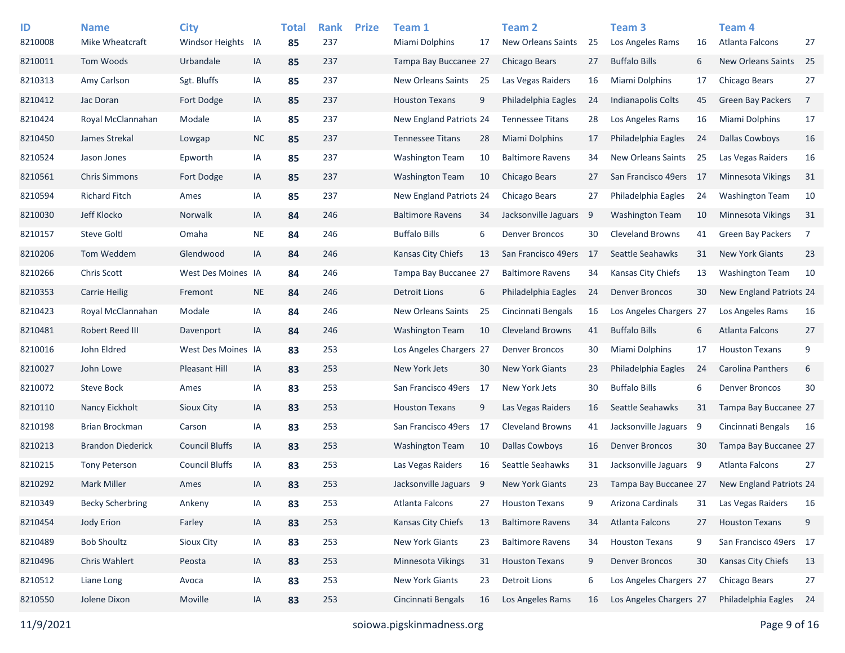| ID<br>8210008 | <b>Name</b><br>Mike Wheatcraft | <b>City</b><br><b>Windsor Heights</b> | IA        | <b>Total</b><br>85 | <b>Rank</b><br>237 | <b>Prize</b> | Team 1<br>Miami Dolphins  | 17 | <b>Team 2</b><br><b>New Orleans Saints</b> | 25  | Team <sub>3</sub><br>Los Angeles Rams | 16   | <b>Team 4</b><br>Atlanta Falcons | 27             |
|---------------|--------------------------------|---------------------------------------|-----------|--------------------|--------------------|--------------|---------------------------|----|--------------------------------------------|-----|---------------------------------------|------|----------------------------------|----------------|
| 8210011       | Tom Woods                      | Urbandale                             | IA        | 85                 | 237                |              | Tampa Bay Buccanee 27     |    | Chicago Bears                              | 27  | <b>Buffalo Bills</b>                  | 6    | New Orleans Saints               | 25             |
| 8210313       | Amy Carlson                    | Sgt. Bluffs                           | IA        | 85                 | 237                |              | New Orleans Saints        | 25 | Las Vegas Raiders                          | 16  | Miami Dolphins                        | 17   | Chicago Bears                    | 27             |
| 8210412       | Jac Doran                      | Fort Dodge                            | IA        | 85                 | 237                |              | <b>Houston Texans</b>     | 9  | Philadelphia Eagles                        | 24  | Indianapolis Colts                    | 45   | <b>Green Bay Packers</b>         | $\overline{7}$ |
| 8210424       | Royal McClannahan              | Modale                                | IA        | 85                 | 237                |              | New England Patriots 24   |    | <b>Tennessee Titans</b>                    | 28  | Los Angeles Rams                      | 16   | Miami Dolphins                   | 17             |
| 8210450       | James Strekal                  | Lowgap                                | <b>NC</b> | 85                 | 237                |              | <b>Tennessee Titans</b>   | 28 | <b>Miami Dolphins</b>                      | 17  | Philadelphia Eagles                   | 24   | <b>Dallas Cowboys</b>            | 16             |
| 8210524       | Jason Jones                    | Epworth                               | IA        | 85                 | 237                |              | <b>Washington Team</b>    | 10 | <b>Baltimore Ravens</b>                    | 34  | New Orleans Saints                    | 25   | Las Vegas Raiders                | 16             |
| 8210561       | <b>Chris Simmons</b>           | Fort Dodge                            | IA        | 85                 | 237                |              | <b>Washington Team</b>    | 10 | Chicago Bears                              | 27  | San Francisco 49ers                   | - 17 | Minnesota Vikings                | 31             |
| 8210594       | <b>Richard Fitch</b>           | Ames                                  | IA        | 85                 | 237                |              | New England Patriots 24   |    | Chicago Bears                              | 27  | Philadelphia Eagles                   | 24   | <b>Washington Team</b>           | 10             |
| 8210030       | Jeff Klocko                    | Norwalk                               | IA        | 84                 | 246                |              | <b>Baltimore Ravens</b>   | 34 | Jacksonville Jaguars                       | - 9 | <b>Washington Team</b>                | 10   | <b>Minnesota Vikings</b>         | 31             |
| 8210157       | <b>Steve Goltl</b>             | Omaha                                 | <b>NE</b> | 84                 | 246                |              | <b>Buffalo Bills</b>      | 6  | <b>Denver Broncos</b>                      | 30  | <b>Cleveland Browns</b>               | 41   | <b>Green Bay Packers</b>         | $\overline{7}$ |
| 8210206       | Tom Weddem                     | Glendwood                             | IA        | 84                 | 246                |              | Kansas City Chiefs        | 13 | San Francisco 49ers                        | -17 | Seattle Seahawks                      | 31   | <b>New York Giants</b>           | 23             |
| 8210266       | Chris Scott                    | West Des Moines IA                    |           | 84                 | 246                |              | Tampa Bay Buccanee 27     |    | <b>Baltimore Ravens</b>                    | 34  | Kansas City Chiefs                    | 13   | <b>Washington Team</b>           | 10             |
| 8210353       | <b>Carrie Heilig</b>           | Fremont                               | <b>NE</b> | 84                 | 246                |              | <b>Detroit Lions</b>      | 6  | Philadelphia Eagles                        | 24  | <b>Denver Broncos</b>                 | 30   | New England Patriots 24          |                |
| 8210423       | Royal McClannahan              | Modale                                | IA        | 84                 | 246                |              | <b>New Orleans Saints</b> | 25 | Cincinnati Bengals                         | 16  | Los Angeles Chargers 27               |      | Los Angeles Rams                 | 16             |
| 8210481       | Robert Reed III                | Davenport                             | IA        | 84                 | 246                |              | <b>Washington Team</b>    | 10 | <b>Cleveland Browns</b>                    | 41  | <b>Buffalo Bills</b>                  | 6    | Atlanta Falcons                  | 27             |
| 8210016       | John Eldred                    | West Des Moines IA                    |           | 83                 | 253                |              | Los Angeles Chargers 27   |    | <b>Denver Broncos</b>                      | 30  | Miami Dolphins                        | 17   | <b>Houston Texans</b>            | 9              |
| 8210027       | John Lowe                      | <b>Pleasant Hill</b>                  | IA        | 83                 | 253                |              | New York Jets             | 30 | <b>New York Giants</b>                     | 23  | Philadelphia Eagles                   | 24   | <b>Carolina Panthers</b>         | 6              |
| 8210072       | <b>Steve Bock</b>              | Ames                                  | IA        | 83                 | 253                |              | San Francisco 49ers       | 17 | New York Jets                              | 30  | <b>Buffalo Bills</b>                  | 6    | <b>Denver Broncos</b>            | 30             |
| 8210110       | Nancy Eickholt                 | Sioux City                            | IA        | 83                 | 253                |              | <b>Houston Texans</b>     | 9  | Las Vegas Raiders                          | 16  | Seattle Seahawks                      | 31   | Tampa Bay Buccanee 27            |                |
| 8210198       | Brian Brockman                 | Carson                                | IA        | 83                 | 253                |              | San Francisco 49ers       | 17 | <b>Cleveland Browns</b>                    | 41  | Jacksonville Jaguars                  | -9   | Cincinnati Bengals               | -16            |
| 8210213       | <b>Brandon Diederick</b>       | <b>Council Bluffs</b>                 | IA        | 83                 | 253                |              | <b>Washington Team</b>    | 10 | <b>Dallas Cowboys</b>                      | 16  | <b>Denver Broncos</b>                 | 30   | Tampa Bay Buccanee 27            |                |
| 8210215       | <b>Tony Peterson</b>           | <b>Council Bluffs</b>                 | IA        | 83                 | 253                |              | Las Vegas Raiders         | 16 | Seattle Seahawks                           | 31  | Jacksonville Jaguars 9                |      | Atlanta Falcons                  | 27             |
| 8210292       | <b>Mark Miller</b>             | Ames                                  | IA        | 83                 | 253                |              | Jacksonville Jaguars      | -9 | <b>New York Giants</b>                     | 23  | Tampa Bay Buccanee 27                 |      | New England Patriots 24          |                |
| 8210349       | <b>Becky Scherbring</b>        | Ankeny                                | IA        | 83                 | 253                |              | Atlanta Falcons           | 27 | <b>Houston Texans</b>                      | 9   | Arizona Cardinals                     | 31   | Las Vegas Raiders                | 16             |
| 8210454       | Jody Erion                     | Farley                                | IA        | 83                 | 253                |              | Kansas City Chiefs        | 13 | <b>Baltimore Ravens</b>                    | 34  | Atlanta Falcons                       | 27   | <b>Houston Texans</b>            | 9              |
| 8210489       | <b>Bob Shoultz</b>             | Sioux City                            | IA        | 83                 | 253                |              | New York Giants           | 23 | <b>Baltimore Ravens</b>                    | 34  | <b>Houston Texans</b>                 | 9    | San Francisco 49ers 17           |                |
| 8210496       | Chris Wahlert                  | Peosta                                | IA        | 83                 | 253                |              | Minnesota Vikings         | 31 | <b>Houston Texans</b>                      | 9   | <b>Denver Broncos</b>                 | 30   | Kansas City Chiefs               | 13             |
| 8210512       | Liane Long                     | Avoca                                 | IA        | 83                 | 253                |              | New York Giants           | 23 | <b>Detroit Lions</b>                       | 6   | Los Angeles Chargers 27               |      | Chicago Bears                    | 27             |
| 8210550       | Jolene Dixon                   | Moville                               | IA        | 83                 | 253                |              | Cincinnati Bengals        | 16 | Los Angeles Rams                           | 16  | Los Angeles Chargers 27               |      | Philadelphia Eagles              | 24             |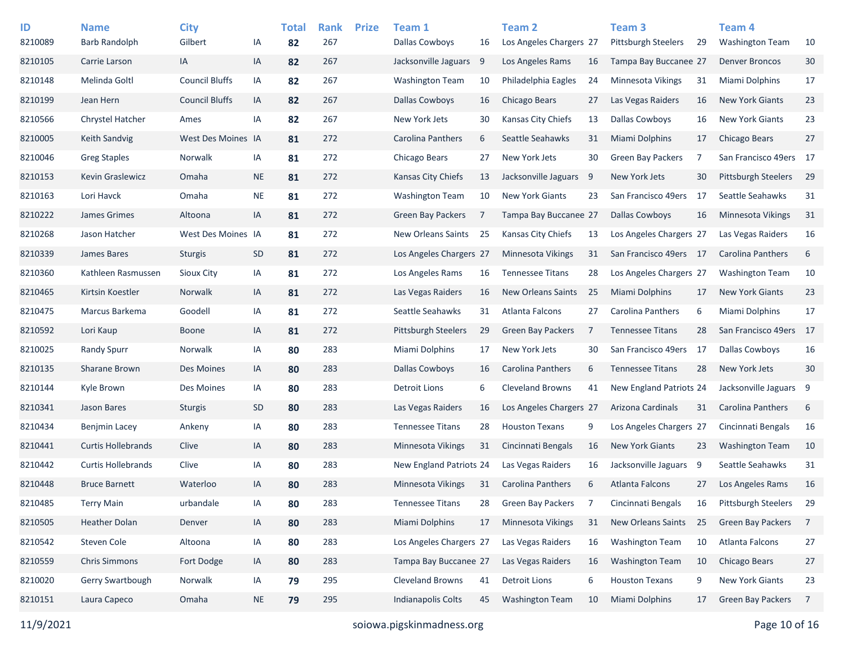| ID<br>8210089 | <b>Name</b><br><b>Barb Randolph</b> | <b>City</b><br>Gilbert | ΙA        | <b>Total</b><br>82 | <b>Rank</b><br>267 | <b>Prize</b> | Team 1<br><b>Dallas Cowboys</b> | 16 | <b>Team 2</b><br>Los Angeles Chargers 27 |     | Team <sub>3</sub><br><b>Pittsburgh Steelers</b> | 29  | Team <sub>4</sub><br>Washington Team | 10             |
|---------------|-------------------------------------|------------------------|-----------|--------------------|--------------------|--------------|---------------------------------|----|------------------------------------------|-----|-------------------------------------------------|-----|--------------------------------------|----------------|
| 8210105       | Carrie Larson                       | IA                     | IA        | 82                 | 267                |              | Jacksonville Jaguars            | 9  | Los Angeles Rams                         | 16  | Tampa Bay Buccanee 27                           |     | <b>Denver Broncos</b>                | 30             |
| 8210148       | Melinda Goltl                       | <b>Council Bluffs</b>  | IA        | 82                 | 267                |              | <b>Washington Team</b>          | 10 | Philadelphia Eagles                      | 24  | <b>Minnesota Vikings</b>                        | 31  | Miami Dolphins                       | 17             |
| 8210199       | Jean Hern                           | <b>Council Bluffs</b>  | IA        | 82                 | 267                |              | <b>Dallas Cowboys</b>           | 16 | Chicago Bears                            | 27  | Las Vegas Raiders                               | 16  | <b>New York Giants</b>               | 23             |
| 8210566       | Chrystel Hatcher                    | Ames                   | IA        | 82                 | 267                |              | New York Jets                   | 30 | Kansas City Chiefs                       | 13  | Dallas Cowboys                                  | 16  | New York Giants                      | 23             |
| 8210005       | <b>Keith Sandvig</b>                | West Des Moines IA     |           | 81                 | 272                |              | Carolina Panthers               | 6  | Seattle Seahawks                         | 31  | <b>Miami Dolphins</b>                           | 17  | <b>Chicago Bears</b>                 | 27             |
| 8210046       | <b>Greg Staples</b>                 | Norwalk                | IA        | 81                 | 272                |              | Chicago Bears                   | 27 | New York Jets                            | 30  | <b>Green Bay Packers</b>                        | 7   | San Francisco 49ers 17               |                |
| 8210153       | Kevin Graslewicz                    | Omaha                  | <b>NE</b> | 81                 | 272                |              | Kansas City Chiefs              | 13 | Jacksonville Jaguars                     | - 9 | New York Jets                                   | 30  | <b>Pittsburgh Steelers</b>           | 29             |
| 8210163       | Lori Havck                          | Omaha                  | <b>NE</b> | 81                 | 272                |              | Washington Team                 | 10 | <b>New York Giants</b>                   | 23  | San Francisco 49ers                             | -17 | Seattle Seahawks                     | 31             |
| 8210222       | James Grimes                        | Altoona                | IA        | 81                 | 272                |              | <b>Green Bay Packers</b>        | 7  | Tampa Bay Buccanee 27                    |     | <b>Dallas Cowboys</b>                           | 16  | Minnesota Vikings                    | 31             |
| 8210268       | Jason Hatcher                       | West Des Moines IA     |           | 81                 | 272                |              | New Orleans Saints              | 25 | Kansas City Chiefs                       | 13  | Los Angeles Chargers 27                         |     | Las Vegas Raiders                    | 16             |
| 8210339       | James Bares                         | <b>Sturgis</b>         | SD        | 81                 | 272                |              | Los Angeles Chargers 27         |    | <b>Minnesota Vikings</b>                 | 31  | San Francisco 49ers 17                          |     | Carolina Panthers                    | 6              |
| 8210360       | Kathleen Rasmussen                  | <b>Sioux City</b>      | IA        | 81                 | 272                |              | Los Angeles Rams                | 16 | <b>Tennessee Titans</b>                  | 28  | Los Angeles Chargers 27                         |     | <b>Washington Team</b>               | 10             |
| 8210465       | Kirtsin Koestler                    | Norwalk                | IA        | 81                 | 272                |              | Las Vegas Raiders               | 16 | <b>New Orleans Saints</b>                | 25  | <b>Miami Dolphins</b>                           | 17  | <b>New York Giants</b>               | 23             |
| 8210475       | Marcus Barkema                      | Goodell                | IA        | 81                 | 272                |              | Seattle Seahawks                | 31 | Atlanta Falcons                          | 27  | <b>Carolina Panthers</b>                        | 6   | Miami Dolphins                       | 17             |
| 8210592       | Lori Kaup                           | <b>Boone</b>           | IA        | 81                 | 272                |              | Pittsburgh Steelers             | 29 | Green Bay Packers                        | 7   | <b>Tennessee Titans</b>                         | 28  | San Francisco 49ers                  | 17             |
| 8210025       | <b>Randy Spurr</b>                  | Norwalk                | IA        | 80                 | 283                |              | Miami Dolphins                  | 17 | New York Jets                            | 30  | San Francisco 49ers                             | -17 | <b>Dallas Cowboys</b>                | 16             |
| 8210135       | Sharane Brown                       | Des Moines             | IA        | 80                 | 283                |              | Dallas Cowboys                  | 16 | Carolina Panthers                        | 6   | <b>Tennessee Titans</b>                         | 28  | New York Jets                        | 30             |
| 8210144       | Kyle Brown                          | Des Moines             | IA        | 80                 | 283                |              | <b>Detroit Lions</b>            | 6  | <b>Cleveland Browns</b>                  | 41  | New England Patriots 24                         |     | Jacksonville Jaguars 9               |                |
| 8210341       | Jason Bares                         | <b>Sturgis</b>         | <b>SD</b> | 80                 | 283                |              | Las Vegas Raiders               | 16 | Los Angeles Chargers 27                  |     | Arizona Cardinals                               | 31  | <b>Carolina Panthers</b>             | 6              |
| 8210434       | Benjmin Lacey                       | Ankeny                 | IA        | 80                 | 283                |              | <b>Tennessee Titans</b>         | 28 | <b>Houston Texans</b>                    | 9   | Los Angeles Chargers 27                         |     | Cincinnati Bengals                   | 16             |
| 8210441       | <b>Curtis Hollebrands</b>           | Clive                  | IA        | 80                 | 283                |              | <b>Minnesota Vikings</b>        | 31 | Cincinnati Bengals                       | 16  | <b>New York Giants</b>                          | 23  | <b>Washington Team</b>               | 10             |
| 8210442       | <b>Curtis Hollebrands</b>           | Clive                  | IA        | 80                 | 283                |              | New England Patriots 24         |    | Las Vegas Raiders                        | 16  | Jacksonville Jaguars                            | -9  | Seattle Seahawks                     | 31             |
| 8210448       | <b>Bruce Barnett</b>                | Waterloo               | IA        | 80                 | 283                |              | <b>Minnesota Vikings</b>        | 31 | Carolina Panthers                        | 6   | Atlanta Falcons                                 | 27  | Los Angeles Rams                     | 16             |
| 8210485       | <b>Terry Main</b>                   | urbandale              | IA        | 80                 | 283                |              | <b>Tennessee Titans</b>         | 28 | <b>Green Bay Packers</b>                 | 7   | Cincinnati Bengals                              | 16  | Pittsburgh Steelers                  | 29             |
| 8210505       | <b>Heather Dolan</b>                | Denver                 | IA        | 80                 | 283                |              | Miami Dolphins                  | 17 | Minnesota Vikings                        | 31  | <b>New Orleans Saints</b>                       | 25  | <b>Green Bay Packers</b>             | $\overline{7}$ |
| 8210542       | Steven Cole                         | Altoona                | IA        | 80                 | 283                |              | Los Angeles Chargers 27         |    | Las Vegas Raiders                        | 16  | <b>Washington Team</b>                          | 10  | Atlanta Falcons                      | 27             |
| 8210559       | <b>Chris Simmons</b>                | Fort Dodge             | IA        | 80                 | 283                |              | Tampa Bay Buccanee 27           |    | Las Vegas Raiders                        | 16  | <b>Washington Team</b>                          | 10  | Chicago Bears                        | 27             |
| 8210020       | Gerry Swartbough                    | Norwalk                | IA        | 79                 | 295                |              | <b>Cleveland Browns</b>         | 41 | <b>Detroit Lions</b>                     | 6   | <b>Houston Texans</b>                           | 9   | <b>New York Giants</b>               | 23             |
| 8210151       | Laura Capeco                        | Omaha                  | <b>NE</b> | 79                 | 295                |              | Indianapolis Colts              | 45 | <b>Washington Team</b>                   | 10  | <b>Miami Dolphins</b>                           | 17  | Green Bay Packers                    | $\overline{7}$ |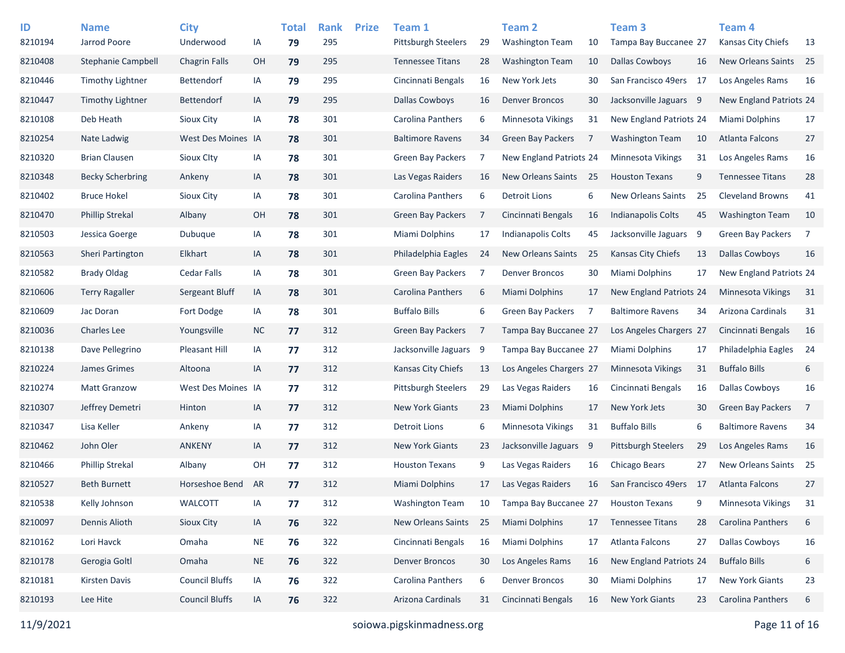| ID<br>8210194 | <b>Name</b><br>Jarrod Poore | <b>City</b><br>Underwood | IA        | <b>Total</b><br>79 | <b>Rank</b><br>295 | <b>Prize</b> | Team 1<br><b>Pittsburgh Steelers</b> | 29 | <b>Team 2</b><br><b>Washington Team</b> | 10  | Team <sub>3</sub><br>Tampa Bay Buccanee 27 |     | Team <sub>4</sub><br>Kansas City Chiefs | 13             |
|---------------|-----------------------------|--------------------------|-----------|--------------------|--------------------|--------------|--------------------------------------|----|-----------------------------------------|-----|--------------------------------------------|-----|-----------------------------------------|----------------|
| 8210408       | Stephanie Campbell          | <b>Chagrin Falls</b>     | OH        | 79                 | 295                |              | <b>Tennessee Titans</b>              | 28 | <b>Washington Team</b>                  | 10  | <b>Dallas Cowboys</b>                      | 16  | <b>New Orleans Saints</b>               | 25             |
| 8210446       | <b>Timothy Lightner</b>     | <b>Bettendorf</b>        | IA        | 79                 | 295                |              | Cincinnati Bengals                   | 16 | New York Jets                           | 30  | San Francisco 49ers 17                     |     | Los Angeles Rams                        | 16             |
| 8210447       | <b>Timothy Lightner</b>     | <b>Bettendorf</b>        | IA        | 79                 | 295                |              | <b>Dallas Cowboys</b>                | 16 | <b>Denver Broncos</b>                   | 30  | Jacksonville Jaguars 9                     |     | New England Patriots 24                 |                |
| 8210108       | Deb Heath                   | Sioux City               | IA        | 78                 | 301                |              | Carolina Panthers                    | 6  | Minnesota Vikings                       | 31  | New England Patriots 24                    |     | <b>Miami Dolphins</b>                   | 17             |
| 8210254       | Nate Ladwig                 | West Des Moines IA       |           | 78                 | 301                |              | <b>Baltimore Ravens</b>              | 34 | <b>Green Bay Packers</b>                | 7   | <b>Washington Team</b>                     | 10  | <b>Atlanta Falcons</b>                  | 27             |
| 8210320       | <b>Brian Clausen</b>        | <b>Sioux Clty</b>        | IA        | 78                 | 301                |              | <b>Green Bay Packers</b>             | 7  | <b>New England Patriots 24</b>          |     | <b>Minnesota Vikings</b>                   | 31  | Los Angeles Rams                        | 16             |
| 8210348       | <b>Becky Scherbring</b>     | Ankeny                   | IA        | 78                 | 301                |              | Las Vegas Raiders                    | 16 | <b>New Orleans Saints</b>               | -25 | <b>Houston Texans</b>                      | 9   | <b>Tennessee Titans</b>                 | 28             |
| 8210402       | <b>Bruce Hokel</b>          | Sioux City               | IA        | 78                 | 301                |              | Carolina Panthers                    | 6  | <b>Detroit Lions</b>                    | 6   | <b>New Orleans Saints</b>                  | 25  | <b>Cleveland Browns</b>                 | 41             |
| 8210470       | <b>Phillip Strekal</b>      | Albany                   | OH        | 78                 | 301                |              | Green Bay Packers                    | 7  | Cincinnati Bengals                      | 16  | Indianapolis Colts                         | 45  | <b>Washington Team</b>                  | 10             |
| 8210503       | Jessica Goerge              | Dubuque                  | IA        | 78                 | 301                |              | Miami Dolphins                       | 17 | <b>Indianapolis Colts</b>               | 45  | Jacksonville Jaguars                       | -9  | <b>Green Bay Packers</b>                | $\overline{7}$ |
| 8210563       | Sheri Partington            | Elkhart                  | IA        | 78                 | 301                |              | Philadelphia Eagles                  | 24 | <b>New Orleans Saints</b>               | 25  | Kansas City Chiefs                         | 13  | <b>Dallas Cowboys</b>                   | 16             |
| 8210582       | <b>Brady Oldag</b>          | <b>Cedar Falls</b>       | IA        | 78                 | 301                |              | <b>Green Bay Packers</b>             | 7  | <b>Denver Broncos</b>                   | 30  | Miami Dolphins                             | 17  | New England Patriots 24                 |                |
| 8210606       | <b>Terry Ragaller</b>       | Sergeant Bluff           | IA        | 78                 | 301                |              | Carolina Panthers                    | 6  | Miami Dolphins                          | 17  | New England Patriots 24                    |     | <b>Minnesota Vikings</b>                | 31             |
| 8210609       | Jac Doran                   | Fort Dodge               | IA        | 78                 | 301                |              | <b>Buffalo Bills</b>                 | 6  | <b>Green Bay Packers</b>                | 7   | <b>Baltimore Ravens</b>                    | 34  | Arizona Cardinals                       | 31             |
| 8210036       | <b>Charles Lee</b>          | Youngsville              | <b>NC</b> | 77                 | 312                |              | <b>Green Bay Packers</b>             | 7  | Tampa Bay Buccanee 27                   |     | Los Angeles Chargers 27                    |     | Cincinnati Bengals                      | 16             |
| 8210138       | Dave Pellegrino             | <b>Pleasant Hill</b>     | IA        | 77                 | 312                |              | Jacksonville Jaguars                 | 9  | Tampa Bay Buccanee 27                   |     | Miami Dolphins                             | 17  | Philadelphia Eagles                     | 24             |
| 8210224       | James Grimes                | Altoona                  | IA        | 77                 | 312                |              | Kansas City Chiefs                   | 13 | Los Angeles Chargers 27                 |     | Minnesota Vikings                          | 31  | <b>Buffalo Bills</b>                    | 6              |
| 8210274       | <b>Matt Granzow</b>         | West Des Moines IA       |           | 77                 | 312                |              | Pittsburgh Steelers                  | 29 | Las Vegas Raiders                       | 16  | Cincinnati Bengals                         | 16  | <b>Dallas Cowboys</b>                   | 16             |
| 8210307       | Jeffrey Demetri             | Hinton                   | IA        | 77                 | 312                |              | <b>New York Giants</b>               | 23 | Miami Dolphins                          | 17  | New York Jets                              | 30  | <b>Green Bay Packers</b>                | 7              |
| 8210347       | Lisa Keller                 | Ankeny                   | IA        | 77                 | 312                |              | <b>Detroit Lions</b>                 | 6  | Minnesota Vikings                       | 31  | <b>Buffalo Bills</b>                       | 6   | <b>Baltimore Ravens</b>                 | 34             |
| 8210462       | John Oler                   | <b>ANKENY</b>            | IA        | 77                 | 312                |              | <b>New York Giants</b>               | 23 | Jacksonville Jaguars                    | - 9 | Pittsburgh Steelers                        | -29 | Los Angeles Rams                        | 16             |
| 8210466       | <b>Phillip Strekal</b>      | Albany                   | OH        | 77                 | 312                |              | <b>Houston Texans</b>                | 9  | Las Vegas Raiders                       | 16  | Chicago Bears                              | 27  | New Orleans Saints                      | 25             |
| 8210527       | <b>Beth Burnett</b>         | Horseshoe Bend           | AR        | 77                 | 312                |              | <b>Miami Dolphins</b>                | 17 | Las Vegas Raiders                       | 16  | San Francisco 49ers                        | 17  | <b>Atlanta Falcons</b>                  | 27             |
| 8210538       | Kelly Johnson               | WALCOTT                  | IA        | 77                 | 312                |              | <b>Washington Team</b>               | 10 | Tampa Bay Buccanee 27                   |     | <b>Houston Texans</b>                      | 9   | Minnesota Vikings                       | 31             |
| 8210097       | Dennis Alioth               | Sioux City               | IA        | 76                 | 322                |              | New Orleans Saints                   | 25 | <b>Miami Dolphins</b>                   | 17  | <b>Tennessee Titans</b>                    | 28  | Carolina Panthers                       | 6              |
| 8210162       | Lori Havck                  | Omaha                    | <b>NE</b> | 76                 | 322                |              | Cincinnati Bengals                   | 16 | Miami Dolphins                          | 17  | Atlanta Falcons                            | 27  | <b>Dallas Cowboys</b>                   | 16             |
| 8210178       | Gerogia Goltl               | Omaha                    | <b>NE</b> | 76                 | 322                |              | <b>Denver Broncos</b>                | 30 | Los Angeles Rams                        | 16  | New England Patriots 24                    |     | <b>Buffalo Bills</b>                    | 6              |
| 8210181       | <b>Kirsten Davis</b>        | <b>Council Bluffs</b>    | IA        | 76                 | 322                |              | Carolina Panthers                    | 6  | <b>Denver Broncos</b>                   | 30  | Miami Dolphins                             | 17  | <b>New York Giants</b>                  | 23             |
| 8210193       | Lee Hite                    | <b>Council Bluffs</b>    | IA        | 76                 | 322                |              | Arizona Cardinals                    | 31 | Cincinnati Bengals                      | 16  | New York Giants                            | 23  | Carolina Panthers                       | 6              |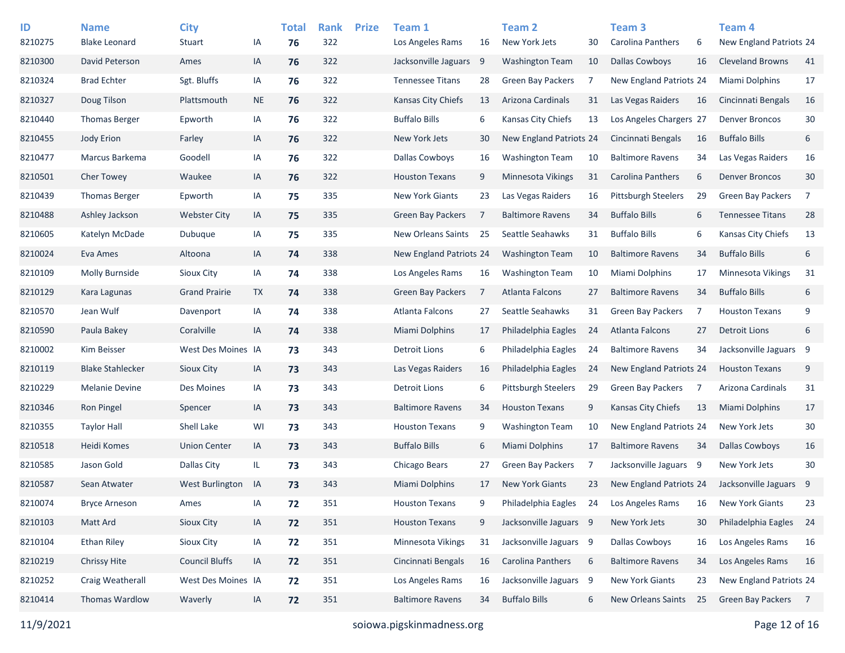| ID      | <b>Name</b>             | <b>City</b>           |           | <b>Total</b> | <b>Rank</b> | <b>Prize</b> | Team 1                   |    | <b>Team 2</b>                  |    | Team <sub>3</sub>          |    | Team <sub>4</sub>        |    |
|---------|-------------------------|-----------------------|-----------|--------------|-------------|--------------|--------------------------|----|--------------------------------|----|----------------------------|----|--------------------------|----|
| 8210275 | <b>Blake Leonard</b>    | <b>Stuart</b>         | ΙA        | 76           | 322         |              | Los Angeles Rams         | 16 | New York Jets                  | 30 | <b>Carolina Panthers</b>   | 6  | New England Patriots 24  |    |
| 8210300 | David Peterson          | Ames                  | IA        | 76           | 322         |              | Jacksonville Jaguars     | 9  | <b>Washington Team</b>         | 10 | <b>Dallas Cowboys</b>      | 16 | <b>Cleveland Browns</b>  | 41 |
| 8210324 | <b>Brad Echter</b>      | Sgt. Bluffs           | IA        | 76           | 322         |              | <b>Tennessee Titans</b>  | 28 | <b>Green Bay Packers</b>       | 7  | New England Patriots 24    |    | Miami Dolphins           | 17 |
| 8210327 | Doug Tilson             | Plattsmouth           | <b>NE</b> | 76           | 322         |              | Kansas City Chiefs       | 13 | Arizona Cardinals              | 31 | Las Vegas Raiders          | 16 | Cincinnati Bengals       | 16 |
| 8210440 | <b>Thomas Berger</b>    | Epworth               | IA        | 76           | 322         |              | <b>Buffalo Bills</b>     | 6  | Kansas City Chiefs             | 13 | Los Angeles Chargers 27    |    | <b>Denver Broncos</b>    | 30 |
| 8210455 | Jody Erion              | Farley                | IA        | 76           | 322         |              | New York Jets            | 30 | <b>New England Patriots 24</b> |    | Cincinnati Bengals         | 16 | <b>Buffalo Bills</b>     | 6  |
| 8210477 | Marcus Barkema          | Goodell               | IA        | 76           | 322         |              | <b>Dallas Cowboys</b>    | 16 | <b>Washington Team</b>         | 10 | <b>Baltimore Ravens</b>    | 34 | Las Vegas Raiders        | 16 |
| 8210501 | <b>Cher Towey</b>       | Waukee                | IA        | 76           | 322         |              | <b>Houston Texans</b>    | 9  | Minnesota Vikings              | 31 | <b>Carolina Panthers</b>   | 6  | <b>Denver Broncos</b>    | 30 |
| 8210439 | <b>Thomas Berger</b>    | Epworth               | IA        | 75           | 335         |              | <b>New York Giants</b>   | 23 | Las Vegas Raiders              | 16 | <b>Pittsburgh Steelers</b> | 29 | <b>Green Bay Packers</b> | -7 |
| 8210488 | Ashley Jackson          | <b>Webster City</b>   | IA        | 75           | 335         |              | <b>Green Bay Packers</b> | 7  | <b>Baltimore Ravens</b>        | 34 | <b>Buffalo Bills</b>       | 6  | <b>Tennessee Titans</b>  | 28 |
| 8210605 | Katelyn McDade          | Dubuque               | IA        | 75           | 335         |              | New Orleans Saints       | 25 | Seattle Seahawks               | 31 | <b>Buffalo Bills</b>       | 6  | Kansas City Chiefs       | 13 |
| 8210024 | Eva Ames                | Altoona               | IA        | 74           | 338         |              | New England Patriots 24  |    | <b>Washington Team</b>         | 10 | <b>Baltimore Ravens</b>    | 34 | <b>Buffalo Bills</b>     | 6  |
| 8210109 | <b>Molly Burnside</b>   | <b>Sioux City</b>     | IA        | 74           | 338         |              | Los Angeles Rams         | 16 | <b>Washington Team</b>         | 10 | Miami Dolphins             | 17 | <b>Minnesota Vikings</b> | 31 |
| 8210129 | Kara Lagunas            | <b>Grand Prairie</b>  | TX        | 74           | 338         |              | <b>Green Bay Packers</b> | 7  | Atlanta Falcons                | 27 | <b>Baltimore Ravens</b>    | 34 | <b>Buffalo Bills</b>     | 6  |
| 8210570 | Jean Wulf               | Davenport             | IA        | 74           | 338         |              | Atlanta Falcons          | 27 | Seattle Seahawks               | 31 | <b>Green Bay Packers</b>   | 7  | <b>Houston Texans</b>    | 9  |
| 8210590 | Paula Bakey             | Coralville            | IA        | 74           | 338         |              | Miami Dolphins           | 17 | Philadelphia Eagles            | 24 | Atlanta Falcons            | 27 | <b>Detroit Lions</b>     | 6  |
| 8210002 | Kim Beisser             | West Des Moines IA    |           | 73           | 343         |              | <b>Detroit Lions</b>     | 6  | Philadelphia Eagles            | 24 | <b>Baltimore Ravens</b>    | 34 | Jacksonville Jaguars 9   |    |
| 8210119 | <b>Blake Stahlecker</b> | Sioux City            | IA        | 73           | 343         |              | Las Vegas Raiders        | 16 | Philadelphia Eagles            | 24 | New England Patriots 24    |    | <b>Houston Texans</b>    | 9  |
| 8210229 | <b>Melanie Devine</b>   | Des Moines            | IA        | 73           | 343         |              | <b>Detroit Lions</b>     | 6  | <b>Pittsburgh Steelers</b>     | 29 | <b>Green Bay Packers</b>   | 7  | Arizona Cardinals        | 31 |
| 8210346 | Ron Pingel              | Spencer               | IA        | 73           | 343         |              | <b>Baltimore Ravens</b>  | 34 | <b>Houston Texans</b>          | 9  | Kansas City Chiefs         | 13 | <b>Miami Dolphins</b>    | 17 |
| 8210355 | <b>Taylor Hall</b>      | Shell Lake            | WI        | 73           | 343         |              | <b>Houston Texans</b>    | 9  | <b>Washington Team</b>         | 10 | New England Patriots 24    |    | New York Jets            | 30 |
| 8210518 | Heidi Komes             | <b>Union Center</b>   | IA        | 73           | 343         |              | <b>Buffalo Bills</b>     | 6  | <b>Miami Dolphins</b>          | 17 | <b>Baltimore Ravens</b>    | 34 | <b>Dallas Cowboys</b>    | 16 |
| 8210585 | Jason Gold              | Dallas City           | IL.       | 73           | 343         |              | Chicago Bears            | 27 | Green Bay Packers              | 7  | Jacksonville Jaguars 9     |    | New York Jets            | 30 |
| 8210587 | Sean Atwater            | West Burlington       | IA        | 73           | 343         |              | <b>Miami Dolphins</b>    | 17 | <b>New York Giants</b>         | 23 | New England Patriots 24    |    | Jacksonville Jaguars 9   |    |
| 8210074 | <b>Bryce Arneson</b>    | Ames                  | IA        | 72           | 351         |              | <b>Houston Texans</b>    | 9  | Philadelphia Eagles            | 24 | Los Angeles Rams           | 16 | <b>New York Giants</b>   | 23 |
| 8210103 | Matt Ard                | Sioux City            | IA        | 72           | 351         |              | <b>Houston Texans</b>    | 9  | Jacksonville Jaguars 9         |    | New York Jets              | 30 | Philadelphia Eagles      | 24 |
| 8210104 | Ethan Riley             | Sioux City            | IA        | 72           | 351         |              | Minnesota Vikings        | 31 | Jacksonville Jaguars 9         |    | Dallas Cowboys             | 16 | Los Angeles Rams         | 16 |
| 8210219 | <b>Chrissy Hite</b>     | <b>Council Bluffs</b> | IA        | 72           | 351         |              | Cincinnati Bengals       | 16 | Carolina Panthers              | 6  | <b>Baltimore Ravens</b>    | 34 | Los Angeles Rams         | 16 |
| 8210252 | Craig Weatherall        | West Des Moines IA    |           | 72           | 351         |              | Los Angeles Rams         | 16 | Jacksonville Jaguars 9         |    | <b>New York Giants</b>     | 23 | New England Patriots 24  |    |
| 8210414 | Thomas Wardlow          | Waverly               | IA        | 72           | 351         |              | <b>Baltimore Ravens</b>  | 34 | <b>Buffalo Bills</b>           | 6  | New Orleans Saints         | 25 | Green Bay Packers 7      |    |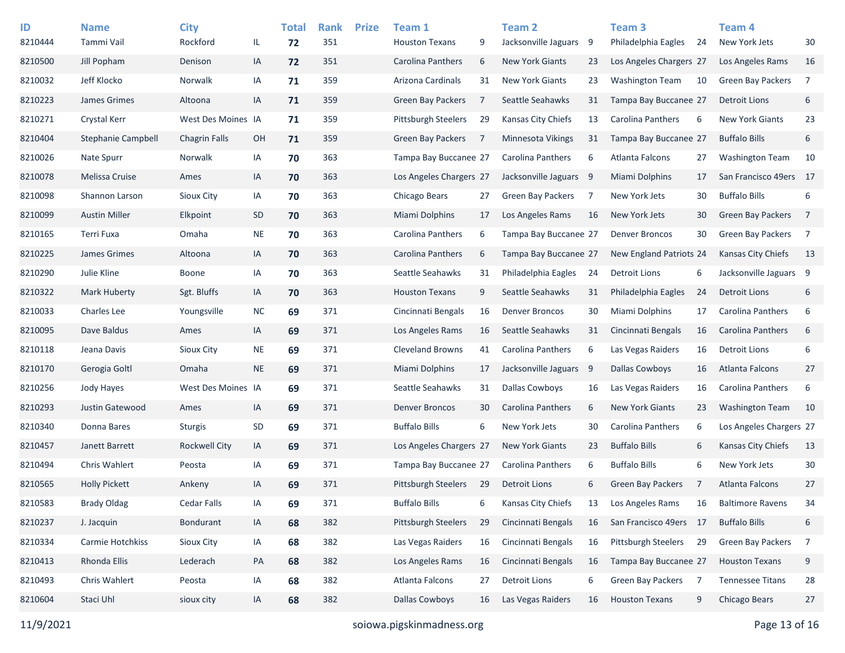| ID<br>8210444 | <b>Name</b><br>Tammi Vail | <b>City</b><br>Rockford | IL.        | <b>Total</b><br>72 | <b>Rank</b><br>351 | <b>Prize</b> | Team 1<br><b>Houston Texans</b> | 9  | <b>Team 2</b><br>Jacksonville Jaguars | - 9 | Team <sub>3</sub><br>Philadelphia Eagles | 24             | Team <sub>4</sub><br>New York Jets | 30             |
|---------------|---------------------------|-------------------------|------------|--------------------|--------------------|--------------|---------------------------------|----|---------------------------------------|-----|------------------------------------------|----------------|------------------------------------|----------------|
| 8210500       | Jill Popham               | Denison                 | IA         | 72                 | 351                |              | Carolina Panthers               | 6  | <b>New York Giants</b>                | 23  | Los Angeles Chargers 27                  |                | Los Angeles Rams                   | 16             |
| 8210032       | Jeff Klocko               | Norwalk                 | IA         | 71                 | 359                |              | Arizona Cardinals               | 31 | <b>New York Giants</b>                | 23  | <b>Washington Team</b>                   | 10             | <b>Green Bay Packers</b>           | 7              |
| 8210223       | James Grimes              | Altoona                 | IA         | 71                 | 359                |              | Green Bay Packers               | 7  | Seattle Seahawks                      | 31  | Tampa Bay Buccanee 27                    |                | <b>Detroit Lions</b>               | 6              |
| 8210271       | Crystal Kerr              | West Des Moines IA      |            | 71                 | 359                |              | Pittsburgh Steelers             | 29 | Kansas City Chiefs                    | 13  | Carolina Panthers                        | 6              | <b>New York Giants</b>             | 23             |
| 8210404       | <b>Stephanie Campbell</b> | <b>Chagrin Falls</b>    | OH         | 71                 | 359                |              | Green Bay Packers               | -7 | Minnesota Vikings                     | 31  | Tampa Bay Buccanee 27                    |                | <b>Buffalo Bills</b>               | 6              |
| 8210026       | Nate Spurr                | Norwalk                 | IA         | 70                 | 363                |              | Tampa Bay Buccanee 27           |    | <b>Carolina Panthers</b>              | 6   | Atlanta Falcons                          | 27             | <b>Washington Team</b>             | 10             |
| 8210078       | Melissa Cruise            | Ames                    | IA         | 70                 | 363                |              | Los Angeles Chargers 27         |    | Jacksonville Jaguars 9                |     | <b>Miami Dolphins</b>                    | 17             | San Francisco 49ers                | 17             |
| 8210098       | Shannon Larson            | Sioux City              | IA         | 70                 | 363                |              | Chicago Bears                   | 27 | <b>Green Bay Packers</b>              | 7   | New York Jets                            | 30             | <b>Buffalo Bills</b>               | 6              |
| 8210099       | <b>Austin Miller</b>      | Elkpoint                | SD         | 70                 | 363                |              | <b>Miami Dolphins</b>           | 17 | Los Angeles Rams                      | 16  | New York Jets                            | 30             | <b>Green Bay Packers</b>           | - 7            |
| 8210165       | Terri Fuxa                | Omaha                   | <b>NE</b>  | 70                 | 363                |              | Carolina Panthers               | 6  | Tampa Bay Buccanee 27                 |     | <b>Denver Broncos</b>                    | 30             | <b>Green Bay Packers</b>           | $\overline{7}$ |
| 8210225       | James Grimes              | Altoona                 | IA         | 70                 | 363                |              | Carolina Panthers               | 6  | Tampa Bay Buccanee 27                 |     | New England Patriots 24                  |                | <b>Kansas City Chiefs</b>          | 13             |
| 8210290       | Julie Kline               | <b>Boone</b>            | IA         | 70                 | 363                |              | Seattle Seahawks                | 31 | Philadelphia Eagles                   | 24  | Detroit Lions                            | 6              | Jacksonville Jaguars 9             |                |
| 8210322       | Mark Huberty              | Sgt. Bluffs             | IA         | 70                 | 363                |              | <b>Houston Texans</b>           | 9  | Seattle Seahawks                      | 31  | Philadelphia Eagles                      | 24             | <b>Detroit Lions</b>               | 6              |
| 8210033       | Charles Lee               | Youngsville             | ${\sf NC}$ | 69                 | 371                |              | Cincinnati Bengals              | 16 | <b>Denver Broncos</b>                 | 30  | Miami Dolphins                           | 17             | Carolina Panthers                  | 6              |
| 8210095       | Dave Baldus               | Ames                    | IA         | 69                 | 371                |              | Los Angeles Rams                | 16 | Seattle Seahawks                      | 31  | Cincinnati Bengals                       | 16             | Carolina Panthers                  | 6              |
| 8210118       | Jeana Davis               | Sioux City              | <b>NE</b>  | 69                 | 371                |              | <b>Cleveland Browns</b>         | 41 | <b>Carolina Panthers</b>              | 6   | Las Vegas Raiders                        | 16             | <b>Detroit Lions</b>               | 6              |
| 8210170       | Gerogia Goltl             | Omaha                   | $\sf NE$   | 69                 | 371                |              | <b>Miami Dolphins</b>           | 17 | Jacksonville Jaguars 9                |     | <b>Dallas Cowboys</b>                    | 16             | <b>Atlanta Falcons</b>             | 27             |
| 8210256       | Jody Hayes                | West Des Moines IA      |            | 69                 | 371                |              | Seattle Seahawks                | 31 | <b>Dallas Cowboys</b>                 | 16  | Las Vegas Raiders                        | 16             | Carolina Panthers                  | 6              |
| 8210293       | Justin Gatewood           | Ames                    | IA         | 69                 | 371                |              | <b>Denver Broncos</b>           | 30 | Carolina Panthers                     | 6   | <b>New York Giants</b>                   | 23             | <b>Washington Team</b>             | 10             |
| 8210340       | Donna Bares               | <b>Sturgis</b>          | SD         | 69                 | 371                |              | <b>Buffalo Bills</b>            | 6  | New York Jets                         | 30  | Carolina Panthers                        | 6              | Los Angeles Chargers 27            |                |
| 8210457       | Janett Barrett            | <b>Rockwell City</b>    | IA         | 69                 | 371                |              | Los Angeles Chargers 27         |    | <b>New York Giants</b>                | 23  | <b>Buffalo Bills</b>                     | 6              | <b>Kansas City Chiefs</b>          | 13             |
| 8210494       | Chris Wahlert             | Peosta                  | IA         | 69                 | 371                |              | Tampa Bay Buccanee 27           |    | Carolina Panthers                     | 6   | <b>Buffalo Bills</b>                     | 6              | New York Jets                      | 30             |
| 8210565       | <b>Holly Pickett</b>      | Ankeny                  | IA         | 69                 | 371                |              | <b>Pittsburgh Steelers</b>      | 29 | Detroit Lions                         | 6   | <b>Green Bay Packers</b>                 | 7              | <b>Atlanta Falcons</b>             | 27             |
| 8210583       | <b>Brady Oldag</b>        | Cedar Falls             | IA         | 69                 | 371                |              | <b>Buffalo Bills</b>            | 6  | Kansas City Chiefs                    | 13  | Los Angeles Rams                         | 16             | <b>Baltimore Ravens</b>            | 34             |
| 8210237       | J. Jacquin                | <b>Bondurant</b>        | IA         | 68                 | 382                |              | <b>Pittsburgh Steelers</b>      | 29 | Cincinnati Bengals                    | 16  | San Francisco 49ers 17                   |                | <b>Buffalo Bills</b>               | 6              |
| 8210334       | Carmie Hotchkiss          | Sioux City              | IA         | 68                 | 382                |              | Las Vegas Raiders               | 16 | Cincinnati Bengals                    | 16  | <b>Pittsburgh Steelers</b>               | 29             | Green Bay Packers                  | $\overline{7}$ |
| 8210413       | <b>Rhonda Ellis</b>       | Lederach                | PA         | 68                 | 382                |              | Los Angeles Rams                | 16 | Cincinnati Bengals                    | 16  | Tampa Bay Buccanee 27                    |                | <b>Houston Texans</b>              | 9              |
| 8210493       | Chris Wahlert             | Peosta                  | IA         | 68                 | 382                |              | Atlanta Falcons                 | 27 | <b>Detroit Lions</b>                  | 6   | Green Bay Packers                        | $\overline{7}$ | <b>Tennessee Titans</b>            | 28             |
| 8210604       | Staci Uhl                 | sioux city              | IA         | 68                 | 382                |              | <b>Dallas Cowboys</b>           | 16 | Las Vegas Raiders                     | 16  | <b>Houston Texans</b>                    | 9              | Chicago Bears                      | 27             |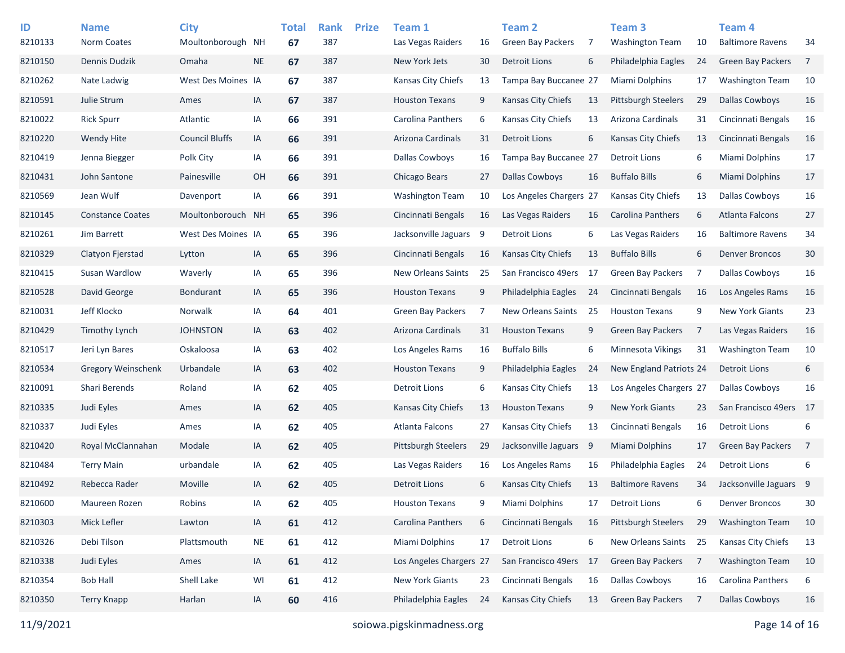| ID<br>8210133 | <b>Name</b><br>Norm Coates | <b>City</b><br>Moultonborough | <b>NH</b> | <b>Total</b><br>67 | <b>Rank</b><br>387 | <b>Prize</b> | Team 1<br>Las Vegas Raiders | 16 | <b>Team 2</b><br><b>Green Bay Packers</b> | 7    | Team <sub>3</sub><br><b>Washington Team</b> | 10             | Team <sub>4</sub><br><b>Baltimore Ravens</b> | 34             |
|---------------|----------------------------|-------------------------------|-----------|--------------------|--------------------|--------------|-----------------------------|----|-------------------------------------------|------|---------------------------------------------|----------------|----------------------------------------------|----------------|
| 8210150       | Dennis Dudzik              | Omaha                         | $\sf NE$  | 67                 | 387                |              | New York Jets               | 30 | <b>Detroit Lions</b>                      | 6    | Philadelphia Eagles                         | 24             | <b>Green Bay Packers</b>                     | $\overline{7}$ |
| 8210262       | Nate Ladwig                | West Des Moines IA            |           | 67                 | 387                |              | Kansas City Chiefs          | 13 | Tampa Bay Buccanee 27                     |      | Miami Dolphins                              | 17             | <b>Washington Team</b>                       | 10             |
| 8210591       | Julie Strum                | Ames                          | IA        | 67                 | 387                |              | <b>Houston Texans</b>       | 9  | Kansas City Chiefs                        | 13   | <b>Pittsburgh Steelers</b>                  | 29             | <b>Dallas Cowboys</b>                        | 16             |
| 8210022       | <b>Rick Spurr</b>          | Atlantic                      | IA        | 66                 | 391                |              | Carolina Panthers           | 6  | Kansas City Chiefs                        | 13   | Arizona Cardinals                           | 31             | Cincinnati Bengals                           | 16             |
| 8210220       | Wendy Hite                 | <b>Council Bluffs</b>         | IA        | 66                 | 391                |              | Arizona Cardinals           | 31 | <b>Detroit Lions</b>                      | 6    | <b>Kansas City Chiefs</b>                   | 13             | Cincinnati Bengals                           | 16             |
| 8210419       | Jenna Biegger              | Polk City                     | IA        | 66                 | 391                |              | <b>Dallas Cowboys</b>       | 16 | Tampa Bay Buccanee 27                     |      | Detroit Lions                               | 6              | Miami Dolphins                               | 17             |
| 8210431       | John Santone               | Painesville                   | OH        | 66                 | 391                |              | Chicago Bears               | 27 | <b>Dallas Cowboys</b>                     | 16   | <b>Buffalo Bills</b>                        | 6              | Miami Dolphins                               | 17             |
| 8210569       | Jean Wulf                  | Davenport                     | IA        | 66                 | 391                |              | <b>Washington Team</b>      | 10 | Los Angeles Chargers 27                   |      | Kansas City Chiefs                          | 13             | <b>Dallas Cowboys</b>                        | 16             |
| 8210145       | <b>Constance Coates</b>    | Moultonborouch                | <b>NH</b> | 65                 | 396                |              | Cincinnati Bengals          | 16 | Las Vegas Raiders                         | 16   | Carolina Panthers                           | 6              | <b>Atlanta Falcons</b>                       | 27             |
| 8210261       | Jim Barrett                | West Des Moines IA            |           | 65                 | 396                |              | Jacksonville Jaguars        | 9  | <b>Detroit Lions</b>                      | 6    | Las Vegas Raiders                           | 16             | <b>Baltimore Ravens</b>                      | 34             |
| 8210329       | Clatyon Fjerstad           | Lytton                        | IA        | 65                 | 396                |              | Cincinnati Bengals          | 16 | <b>Kansas City Chiefs</b>                 | 13   | <b>Buffalo Bills</b>                        | 6              | <b>Denver Broncos</b>                        | 30             |
| 8210415       | Susan Wardlow              | Waverly                       | IA        | 65                 | 396                |              | <b>New Orleans Saints</b>   | 25 | San Francisco 49ers                       | 17   | <b>Green Bay Packers</b>                    | 7              | <b>Dallas Cowboys</b>                        | 16             |
| 8210528       | David George               | <b>Bondurant</b>              | IA        | 65                 | 396                |              | <b>Houston Texans</b>       | 9  | Philadelphia Eagles                       | 24   | Cincinnati Bengals                          | 16             | Los Angeles Rams                             | 16             |
| 8210031       | Jeff Klocko                | Norwalk                       | IA        | 64                 | 401                |              | <b>Green Bay Packers</b>    | 7  | <b>New Orleans Saints</b>                 | 25   | <b>Houston Texans</b>                       | 9              | <b>New York Giants</b>                       | 23             |
| 8210429       | Timothy Lynch              | <b>JOHNSTON</b>               | IA        | 63                 | 402                |              | Arizona Cardinals           | 31 | <b>Houston Texans</b>                     | 9    | <b>Green Bay Packers</b>                    | 7              | Las Vegas Raiders                            | 16             |
| 8210517       | Jeri Lyn Bares             | Oskaloosa                     | IA        | 63                 | 402                |              | Los Angeles Rams            | 16 | <b>Buffalo Bills</b>                      | 6    | Minnesota Vikings                           | 31             | <b>Washington Team</b>                       | 10             |
| 8210534       | Gregory Weinschenk         | Urbandale                     | IA        | 63                 | 402                |              | <b>Houston Texans</b>       | 9  | Philadelphia Eagles                       | 24   | New England Patriots 24                     |                | <b>Detroit Lions</b>                         | 6              |
| 8210091       | Shari Berends              | Roland                        | IA        | 62                 | 405                |              | <b>Detroit Lions</b>        | 6  | Kansas City Chiefs                        | 13   | Los Angeles Chargers 27                     |                | <b>Dallas Cowboys</b>                        | 16             |
| 8210335       | Judi Eyles                 | Ames                          | IA        | 62                 | 405                |              | Kansas City Chiefs          | 13 | <b>Houston Texans</b>                     | 9    | <b>New York Giants</b>                      | 23             | San Francisco 49ers                          | 17             |
| 8210337       | Judi Eyles                 | Ames                          | IA        | 62                 | 405                |              | Atlanta Falcons             | 27 | Kansas City Chiefs                        | 13   | Cincinnati Bengals                          | 16             | <b>Detroit Lions</b>                         | 6              |
| 8210420       | Royal McClannahan          | Modale                        | IA        | 62                 | 405                |              | <b>Pittsburgh Steelers</b>  | 29 | Jacksonville Jaguars                      | - 9  | <b>Miami Dolphins</b>                       | 17             | <b>Green Bay Packers</b>                     | $\overline{7}$ |
| 8210484       | <b>Terry Main</b>          | urbandale                     | IA        | 62                 | 405                |              | Las Vegas Raiders           | 16 | Los Angeles Rams                          | 16   | Philadelphia Eagles                         | 24             | <b>Detroit Lions</b>                         | 6              |
| 8210492       | Rebecca Rader              | Moville                       | IA        | 62                 | 405                |              | <b>Detroit Lions</b>        | 6  | <b>Kansas City Chiefs</b>                 | 13   | <b>Baltimore Ravens</b>                     | 34             | Jacksonville Jaguars 9                       |                |
| 8210600       | Maureen Rozen              | Robins                        | IA        | 62                 | 405                |              | <b>Houston Texans</b>       | 9  | Miami Dolphins                            | 17   | <b>Detroit Lions</b>                        | 6              | <b>Denver Broncos</b>                        | 30             |
| 8210303       | Mick Lefler                | Lawton                        | IA        | 61                 | 412                |              | Carolina Panthers           | 6  | Cincinnati Bengals                        | 16   | <b>Pittsburgh Steelers</b>                  | 29             | <b>Washington Team</b>                       | 10             |
| 8210326       | Debi Tilson                | Plattsmouth                   | <b>NE</b> | 61                 | 412                |              | Miami Dolphins              | 17 | Detroit Lions                             | 6    | New Orleans Saints                          | 25             | Kansas City Chiefs                           | 13             |
| 8210338       | Judi Eyles                 | Ames                          | IA        | 61                 | 412                |              | Los Angeles Chargers 27     |    | San Francisco 49ers                       | - 17 | Green Bay Packers                           | $\overline{7}$ | <b>Washington Team</b>                       | 10             |
| 8210354       | <b>Bob Hall</b>            | Shell Lake                    | WI        | 61                 | 412                |              | New York Giants             | 23 | Cincinnati Bengals                        | 16   | <b>Dallas Cowboys</b>                       | 16             | Carolina Panthers                            | 6              |
| 8210350       | <b>Terry Knapp</b>         | Harlan                        | IA        | 60                 | 416                |              | Philadelphia Eagles         | 24 | Kansas City Chiefs                        | 13   | Green Bay Packers                           | 7              | <b>Dallas Cowboys</b>                        | 16             |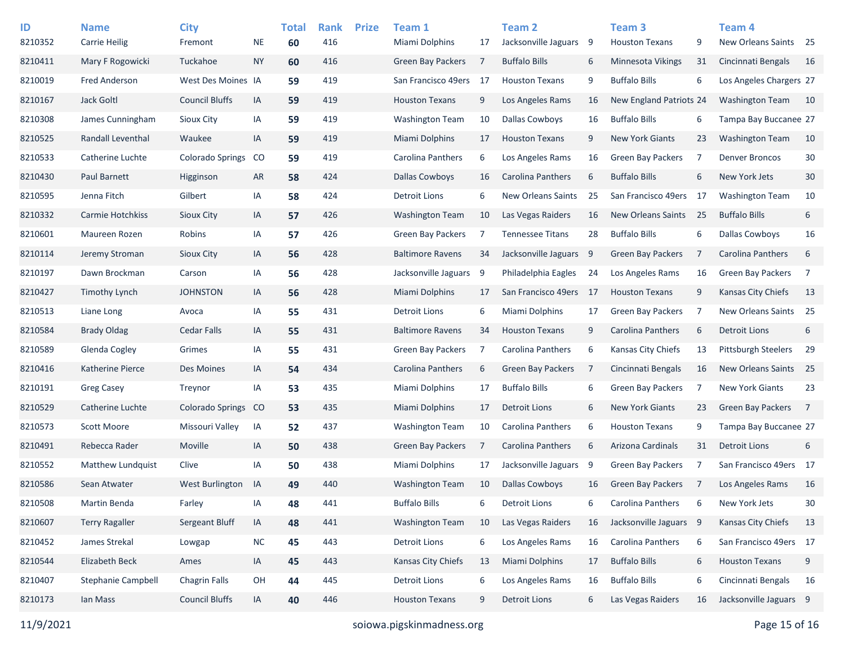| ID<br>8210352 | <b>Name</b><br><b>Carrie Heilig</b> | <b>City</b><br>Fremont  | <b>NE</b>  | <b>Total</b><br>60 | <b>Rank</b><br>416 | <b>Prize</b> | Team 1<br><b>Miami Dolphins</b> | 17 | <b>Team 2</b><br>Jacksonville Jaguars 9 |    | Team <sub>3</sub><br><b>Houston Texans</b> | 9   | Team <sub>4</sub><br>New Orleans Saints 25 |                |
|---------------|-------------------------------------|-------------------------|------------|--------------------|--------------------|--------------|---------------------------------|----|-----------------------------------------|----|--------------------------------------------|-----|--------------------------------------------|----------------|
| 8210411       | Mary F Rogowicki                    | Tuckahoe                | <b>NY</b>  | 60                 | 416                |              | <b>Green Bay Packers</b>        | 7  | <b>Buffalo Bills</b>                    | 6  | Minnesota Vikings                          | 31  | Cincinnati Bengals                         | 16             |
| 8210019       | Fred Anderson                       | West Des Moines IA      |            | 59                 | 419                |              | San Francisco 49ers             | 17 | <b>Houston Texans</b>                   | 9  | <b>Buffalo Bills</b>                       | 6   | Los Angeles Chargers 27                    |                |
| 8210167       | Jack Goltl                          | <b>Council Bluffs</b>   | IA         | 59                 | 419                |              | <b>Houston Texans</b>           | 9  | Los Angeles Rams                        | 16 | New England Patriots 24                    |     | <b>Washington Team</b>                     | 10             |
| 8210308       | James Cunningham                    | <b>Sioux City</b>       | IA         | 59                 | 419                |              | <b>Washington Team</b>          | 10 | <b>Dallas Cowboys</b>                   | 16 | <b>Buffalo Bills</b>                       | 6   | Tampa Bay Buccanee 27                      |                |
| 8210525       | Randall Leventhal                   | Waukee                  | IA         | 59                 | 419                |              | <b>Miami Dolphins</b>           | 17 | <b>Houston Texans</b>                   | 9  | <b>New York Giants</b>                     | 23  | <b>Washington Team</b>                     | 10             |
| 8210533       | Catherine Luchte                    | <b>Colorado Springs</b> | CO         | 59                 | 419                |              | Carolina Panthers               | 6  | Los Angeles Rams                        | 16 | <b>Green Bay Packers</b>                   | 7   | <b>Denver Broncos</b>                      | 30             |
| 8210430       | Paul Barnett                        | Higginson               | <b>AR</b>  | 58                 | 424                |              | <b>Dallas Cowboys</b>           | 16 | Carolina Panthers                       | 6  | <b>Buffalo Bills</b>                       | 6   | New York Jets                              | 30             |
| 8210595       | Jenna Fitch                         | Gilbert                 | ΙA         | 58                 | 424                |              | <b>Detroit Lions</b>            | 6  | <b>New Orleans Saints</b>               | 25 | San Francisco 49ers                        | -17 | <b>Washington Team</b>                     | 10             |
| 8210332       | Carmie Hotchkiss                    | <b>Sioux City</b>       | IA         | 57                 | 426                |              | <b>Washington Team</b>          | 10 | Las Vegas Raiders                       | 16 | <b>New Orleans Saints</b>                  | -25 | <b>Buffalo Bills</b>                       | 6              |
| 8210601       | Maureen Rozen                       | Robins                  | ΙA         | 57                 | 426                |              | <b>Green Bay Packers</b>        | 7  | <b>Tennessee Titans</b>                 | 28 | <b>Buffalo Bills</b>                       | 6   | <b>Dallas Cowboys</b>                      | 16             |
| 8210114       | Jeremy Stroman                      | <b>Sioux City</b>       | IA         | 56                 | 428                |              | <b>Baltimore Ravens</b>         | 34 | Jacksonville Jaguars 9                  |    | <b>Green Bay Packers</b>                   | 7   | Carolina Panthers                          | 6              |
| 8210197       | Dawn Brockman                       | Carson                  | IA         | 56                 | 428                |              | Jacksonville Jaguars            | 9  | Philadelphia Eagles                     | 24 | Los Angeles Rams                           | 16  | <b>Green Bay Packers</b>                   | $\overline{7}$ |
| 8210427       | Timothy Lynch                       | <b>JOHNSTON</b>         | IA         | 56                 | 428                |              | <b>Miami Dolphins</b>           | 17 | San Francisco 49ers 17                  |    | <b>Houston Texans</b>                      | 9   | Kansas City Chiefs                         | 13             |
| 8210513       | Liane Long                          | Avoca                   | IA         | 55                 | 431                |              | <b>Detroit Lions</b>            | 6  | Miami Dolphins                          | 17 | <b>Green Bay Packers</b>                   | -7  | New Orleans Saints                         | 25             |
| 8210584       | <b>Brady Oldag</b>                  | Cedar Falls             | IA         | 55                 | 431                |              | <b>Baltimore Ravens</b>         | 34 | <b>Houston Texans</b>                   | 9  | Carolina Panthers                          | 6   | <b>Detroit Lions</b>                       | 6              |
| 8210589       | Glenda Cogley                       | Grimes                  | ΙA         | 55                 | 431                |              | <b>Green Bay Packers</b>        | 7  | Carolina Panthers                       | 6  | Kansas City Chiefs                         | 13  | <b>Pittsburgh Steelers</b>                 | 29             |
| 8210416       | Katherine Pierce                    | Des Moines              | IA         | 54                 | 434                |              | Carolina Panthers               | 6  | <b>Green Bay Packers</b>                | 7  | Cincinnati Bengals                         | 16  | New Orleans Saints                         | 25             |
| 8210191       | <b>Greg Casey</b>                   | Treynor                 | ΙA         | 53                 | 435                |              | Miami Dolphins                  | 17 | <b>Buffalo Bills</b>                    | 6  | <b>Green Bay Packers</b>                   | 7   | <b>New York Giants</b>                     | 23             |
| 8210529       | Catherine Luchte                    | <b>Colorado Springs</b> | CO         | 53                 | 435                |              | <b>Miami Dolphins</b>           | 17 | Detroit Lions                           | 6  | <b>New York Giants</b>                     | 23  | Green Bay Packers                          | $\overline{7}$ |
| 8210573       | Scott Moore                         | Missouri Valley         | IA         | 52                 | 437                |              | <b>Washington Team</b>          | 10 | Carolina Panthers                       | 6  | <b>Houston Texans</b>                      | 9   | Tampa Bay Buccanee 27                      |                |
| 8210491       | Rebecca Rader                       | Moville                 | IA         | 50                 | 438                |              | <b>Green Bay Packers</b>        | 7  | Carolina Panthers                       | 6  | Arizona Cardinals                          | 31  | <b>Detroit Lions</b>                       | 6              |
| 8210552       | Matthew Lundquist                   | Clive                   | ΙA         | 50                 | 438                |              | Miami Dolphins                  | 17 | Jacksonville Jaguars                    | 9  | <b>Green Bay Packers</b>                   | 7   | San Francisco 49ers 17                     |                |
| 8210586       | Sean Atwater                        | West Burlington         | IA         | 49                 | 440                |              | <b>Washington Team</b>          | 10 | <b>Dallas Cowboys</b>                   | 16 | <b>Green Bay Packers</b>                   | -7  | Los Angeles Rams                           | 16             |
| 8210508       | Martin Benda                        | Farley                  | IA         | 48                 | 441                |              | <b>Buffalo Bills</b>            | 6  | <b>Detroit Lions</b>                    | 6  | Carolina Panthers                          | 6   | New York Jets                              | 30             |
| 8210607       | <b>Terry Ragaller</b>               | Sergeant Bluff          | IA         | 48                 | 441                |              | <b>Washington Team</b>          | 10 | Las Vegas Raiders                       | 16 | Jacksonville Jaguars 9                     |     | Kansas City Chiefs                         | 13             |
| 8210452       | James Strekal                       | Lowgap                  | ${\sf NC}$ | 45                 | 443                |              | <b>Detroit Lions</b>            | 6  | Los Angeles Rams                        | 16 | Carolina Panthers                          | 6   | San Francisco 49ers 17                     |                |
| 8210544       | Elizabeth Beck                      | Ames                    | IA         | 45                 | 443                |              | Kansas City Chiefs              | 13 | Miami Dolphins                          | 17 | <b>Buffalo Bills</b>                       | 6   | <b>Houston Texans</b>                      | 9              |
| 8210407       | Stephanie Campbell                  | <b>Chagrin Falls</b>    | OH         | 44                 | 445                |              | <b>Detroit Lions</b>            | 6  | Los Angeles Rams                        | 16 | <b>Buffalo Bills</b>                       | 6   | Cincinnati Bengals                         | 16             |
| 8210173       | Ian Mass                            | <b>Council Bluffs</b>   | IA         | 40                 | 446                |              | <b>Houston Texans</b>           | 9  | <b>Detroit Lions</b>                    | 6  | Las Vegas Raiders                          | 16  | Jacksonville Jaguars 9                     |                |